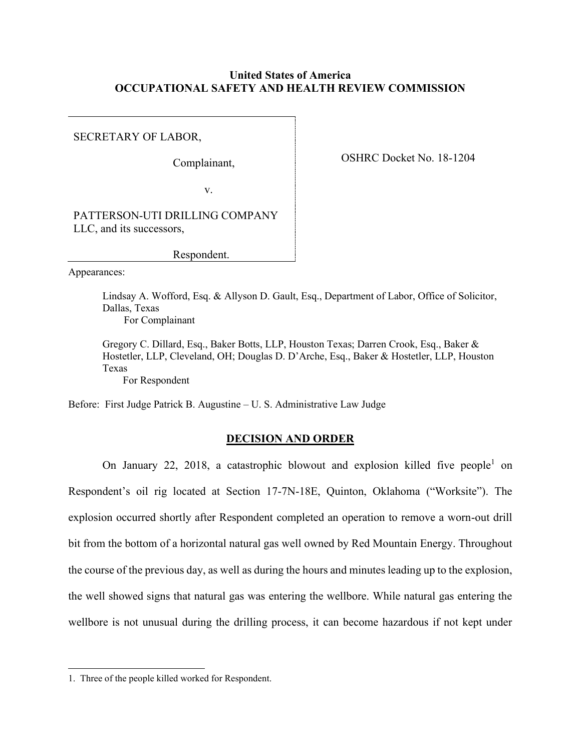# **United States of America OCCUPATIONAL SAFETY AND HEALTH REVIEW COMMISSION**

SECRETARY OF LABOR,

Complainant,

OSHRC Docket No. 18-1204

v.

PATTERSON-UTI DRILLING COMPANY LLC, and its successors,

Respondent.

Appearances:

Lindsay A. Wofford, Esq. & Allyson D. Gault, Esq., Department of Labor, Office of Solicitor, Dallas, Texas

For Complainant

Gregory C. Dillard, Esq., Baker Botts, LLP, Houston Texas; Darren Crook, Esq., Baker & Hostetler, LLP, Cleveland, OH; Douglas D. D'Arche, Esq., Baker & Hostetler, LLP, Houston Texas

For Respondent

Before: First Judge Patrick B. Augustine – U. S. Administrative Law Judge

# **DECISION AND ORDER**

On January 22, 2018, a catastrophic blowout and explosion killed five people<sup>1</sup> on Respondent's oil rig located at Section 17-7N-18E, Quinton, Oklahoma ("Worksite"). The explosion occurred shortly after Respondent completed an operation to remove a worn-out drill bit from the bottom of a horizontal natural gas well owned by Red Mountain Energy. Throughout the course of the previous day, as well as during the hours and minutes leading up to the explosion, the well showed signs that natural gas was entering the wellbore. While natural gas entering the wellbore is not unusual during the drilling process, it can become hazardous if not kept under

<sup>1.</sup> Three of the people killed worked for Respondent.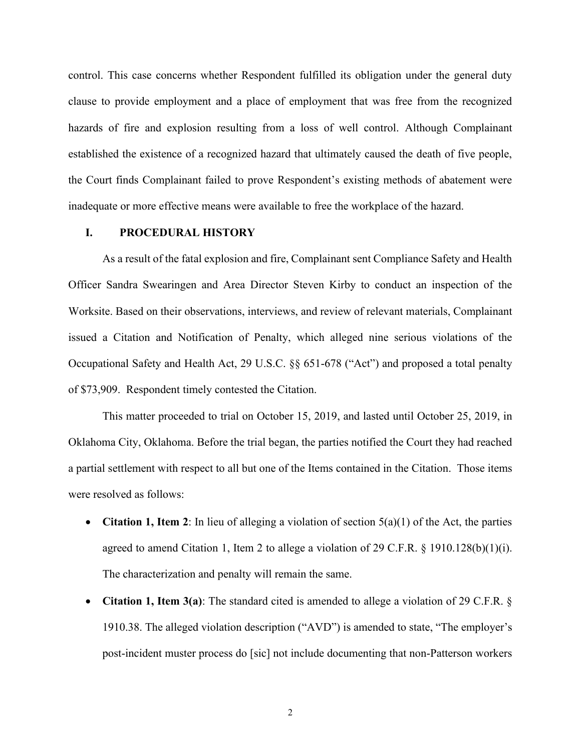control. This case concerns whether Respondent fulfilled its obligation under the general duty clause to provide employment and a place of employment that was free from the recognized hazards of fire and explosion resulting from a loss of well control. Although Complainant established the existence of a recognized hazard that ultimately caused the death of five people, the Court finds Complainant failed to prove Respondent's existing methods of abatement were inadequate or more effective means were available to free the workplace of the hazard.

## **I. PROCEDURAL HISTORY**

As a result of the fatal explosion and fire, Complainant sent Compliance Safety and Health Officer Sandra Swearingen and Area Director Steven Kirby to conduct an inspection of the Worksite. Based on their observations, interviews, and review of relevant materials, Complainant issued a Citation and Notification of Penalty, which alleged nine serious violations of the Occupational Safety and Health Act, 29 U.S.C. §§ 651-678 ("Act") and proposed a total penalty of \$73,909. Respondent timely contested the Citation.

This matter proceeded to trial on October 15, 2019, and lasted until October 25, 2019, in Oklahoma City, Oklahoma. Before the trial began, the parties notified the Court they had reached a partial settlement with respect to all but one of the Items contained in the Citation. Those items were resolved as follows:

- **Citation 1, Item 2**: In lieu of alleging a violation of section 5(a)(1) of the Act, the parties agreed to amend Citation 1, Item 2 to allege a violation of 29 C.F.R. § 1910.128(b)(1)(i). The characterization and penalty will remain the same.
- **Citation 1, Item 3(a)**: The standard cited is amended to allege a violation of 29 C.F.R. § 1910.38. The alleged violation description ("AVD") is amended to state, "The employer's post-incident muster process do [sic] not include documenting that non-Patterson workers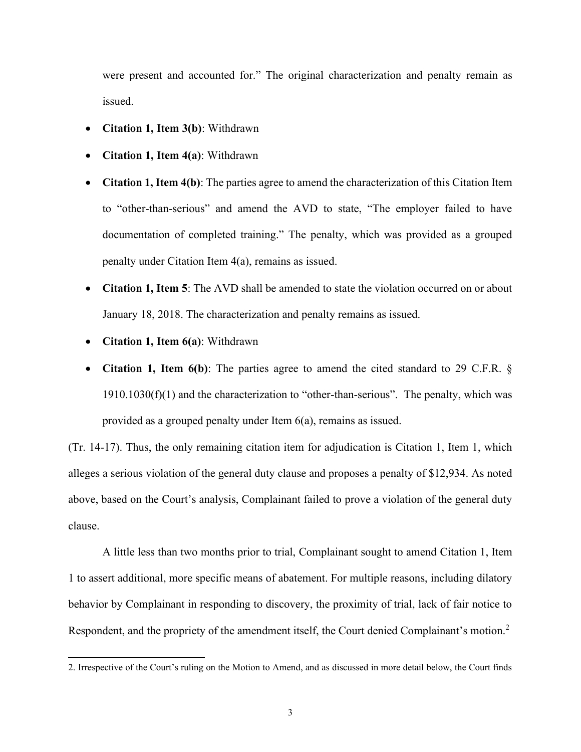were present and accounted for." The original characterization and penalty remain as issued.

- **Citation 1, Item 3(b)**: Withdrawn
- **Citation 1, Item 4(a)**: Withdrawn
- **Citation 1, Item 4(b)**: The parties agree to amend the characterization of this Citation Item to "other-than-serious" and amend the AVD to state, "The employer failed to have documentation of completed training." The penalty, which was provided as a grouped penalty under Citation Item 4(a), remains as issued.
- **Citation 1, Item 5**: The AVD shall be amended to state the violation occurred on or about January 18, 2018. The characterization and penalty remains as issued.
- **Citation 1, Item 6(a)**: Withdrawn
- **Citation 1, Item 6(b)**: The parties agree to amend the cited standard to 29 C.F.R. §  $1910.1030(f)(1)$  and the characterization to "other-than-serious". The penalty, which was provided as a grouped penalty under Item 6(a), remains as issued.

(Tr. 14-17). Thus, the only remaining citation item for adjudication is Citation 1, Item 1, which alleges a serious violation of the general duty clause and proposes a penalty of \$12,934. As noted above, based on the Court's analysis, Complainant failed to prove a violation of the general duty clause.

A little less than two months prior to trial, Complainant sought to amend Citation 1, Item 1 to assert additional, more specific means of abatement. For multiple reasons, including dilatory behavior by Complainant in responding to discovery, the proximity of trial, lack of fair notice to Respondent, and the propriety of the amendment itself, the Court denied Complainant's motion.<sup>2</sup>

<sup>2.</sup> Irrespective of the Court's ruling on the Motion to Amend, and as discussed in more detail below, the Court finds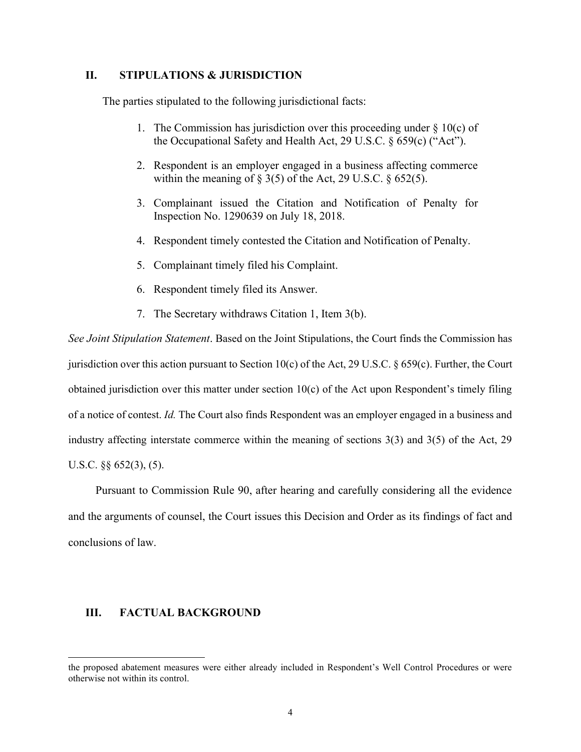# **II. STIPULATIONS & JURISDICTION**

The parties stipulated to the following jurisdictional facts:

- 1. The Commission has jurisdiction over this proceeding under  $\S 10(c)$  of the Occupational Safety and Health Act, 29 U.S.C. § 659(c) ("Act").
- 2. Respondent is an employer engaged in a business affecting commerce within the meaning of  $\S 3(5)$  of the Act, 29 U.S.C.  $\S 652(5)$ .
- 3. Complainant issued the Citation and Notification of Penalty for Inspection No. 1290639 on July 18, 2018.
- 4. Respondent timely contested the Citation and Notification of Penalty.
- 5. Complainant timely filed his Complaint.
- 6. Respondent timely filed its Answer.
- 7. The Secretary withdraws Citation 1, Item 3(b).

*See Joint Stipulation Statement*. Based on the Joint Stipulations, the Court finds the Commission has jurisdiction over this action pursuant to Section 10(c) of the Act, 29 U.S.C. § 659(c). Further, the Court obtained jurisdiction over this matter under section 10(c) of the Act upon Respondent's timely filing of a notice of contest. *Id.* The Court also finds Respondent was an employer engaged in a business and industry affecting interstate commerce within the meaning of sections 3(3) and 3(5) of the Act, 29 U.S.C. §§ 652(3), (5).

Pursuant to Commission Rule 90, after hearing and carefully considering all the evidence and the arguments of counsel, the Court issues this Decision and Order as its findings of fact and conclusions of law.

## **III. FACTUAL BACKGROUND**

the proposed abatement measures were either already included in Respondent's Well Control Procedures or were otherwise not within its control.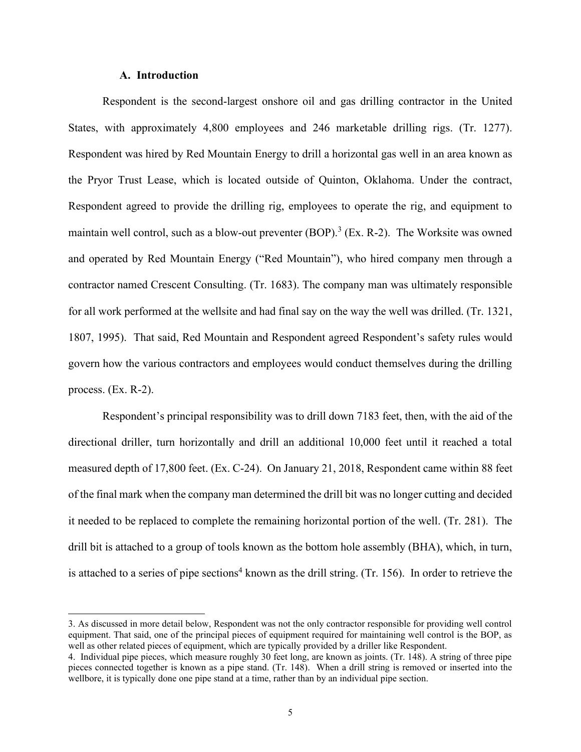## **A. Introduction**

Respondent is the second-largest onshore oil and gas drilling contractor in the United States, with approximately 4,800 employees and 246 marketable drilling rigs. (Tr. 1277). Respondent was hired by Red Mountain Energy to drill a horizontal gas well in an area known as the Pryor Trust Lease, which is located outside of Quinton, Oklahoma. Under the contract, Respondent agreed to provide the drilling rig, employees to operate the rig, and equipment to maintain well control, such as a blow-out preventer  $(BOP)$ .<sup>3</sup> (Ex. R-2). The Worksite was owned and operated by Red Mountain Energy ("Red Mountain"), who hired company men through a contractor named Crescent Consulting. (Tr. 1683). The company man was ultimately responsible for all work performed at the wellsite and had final say on the way the well was drilled. (Tr. 1321, 1807, 1995). That said, Red Mountain and Respondent agreed Respondent's safety rules would govern how the various contractors and employees would conduct themselves during the drilling process. (Ex. R-2).

Respondent's principal responsibility was to drill down 7183 feet, then, with the aid of the directional driller, turn horizontally and drill an additional 10,000 feet until it reached a total measured depth of 17,800 feet. (Ex. C-24). On January 21, 2018, Respondent came within 88 feet of the final mark when the company man determined the drill bit was no longer cutting and decided it needed to be replaced to complete the remaining horizontal portion of the well. (Tr. 281). The drill bit is attached to a group of tools known as the bottom hole assembly (BHA), which, in turn, is attached to a series of pipe sections<sup>4</sup> known as the drill string. (Tr. 156). In order to retrieve the

<sup>3.</sup> As discussed in more detail below, Respondent was not the only contractor responsible for providing well control equipment. That said, one of the principal pieces of equipment required for maintaining well control is the BOP, as well as other related pieces of equipment, which are typically provided by a driller like Respondent.

<sup>4.</sup> Individual pipe pieces, which measure roughly 30 feet long, are known as joints. (Tr. 148). A string of three pipe pieces connected together is known as a pipe stand. (Tr. 148). When a drill string is removed or inserted into the wellbore, it is typically done one pipe stand at a time, rather than by an individual pipe section.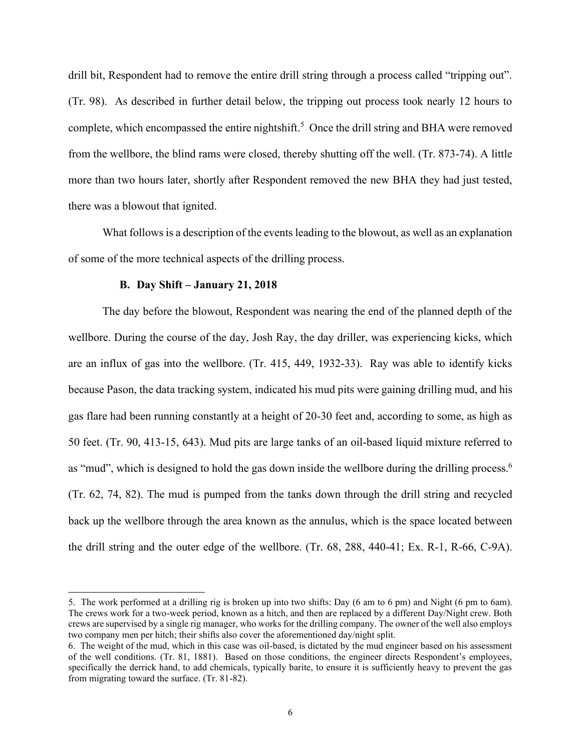drill bit, Respondent had to remove the entire drill string through a process called "tripping out". (Tr. 98). As described in further detail below, the tripping out process took nearly 12 hours to complete, which encompassed the entire nightshift.<sup>5</sup> Once the drill string and BHA were removed from the wellbore, the blind rams were closed, thereby shutting off the well. (Tr. 873-74). A little more than two hours later, shortly after Respondent removed the new BHA they had just tested, there was a blowout that ignited.

What follows is a description of the events leading to the blowout, as well as an explanation of some of the more technical aspects of the drilling process.

#### **B. Day Shift – January 21, 2018**

The day before the blowout, Respondent was nearing the end of the planned depth of the wellbore. During the course of the day, Josh Ray, the day driller, was experiencing kicks, which are an influx of gas into the wellbore. (Tr. 415, 449, 1932-33). Ray was able to identify kicks because Pason, the data tracking system, indicated his mud pits were gaining drilling mud, and his gas flare had been running constantly at a height of 20-30 feet and, according to some, as high as 50 feet. (Tr. 90, 413-15, 643). Mud pits are large tanks of an oil-based liquid mixture referred to as "mud", which is designed to hold the gas down inside the wellbore during the drilling process.<sup>6</sup> (Tr. 62, 74, 82). The mud is pumped from the tanks down through the drill string and recycled back up the wellbore through the area known as the annulus, which is the space located between the drill string and the outer edge of the wellbore. (Tr. 68, 288, 440-41; Ex. R-1, R-66, C-9A).

<sup>5.</sup> The work performed at a drilling rig is broken up into two shifts: Day (6 am to 6 pm) and Night (6 pm to 6am). The crews work for a two-week period, known as a hitch, and then are replaced by a different Day/Night crew. Both crews are supervised by a single rig manager, who works for the drilling company. The owner of the well also employs two company men per hitch; their shifts also cover the aforementioned day/night split.

<sup>6.</sup> The weight of the mud, which in this case was oil-based, is dictated by the mud engineer based on his assessment of the well conditions. (Tr. 81, 1881). Based on those conditions, the engineer directs Respondent's employees, specifically the derrick hand, to add chemicals, typically barite, to ensure it is sufficiently heavy to prevent the gas from migrating toward the surface. (Tr. 81-82).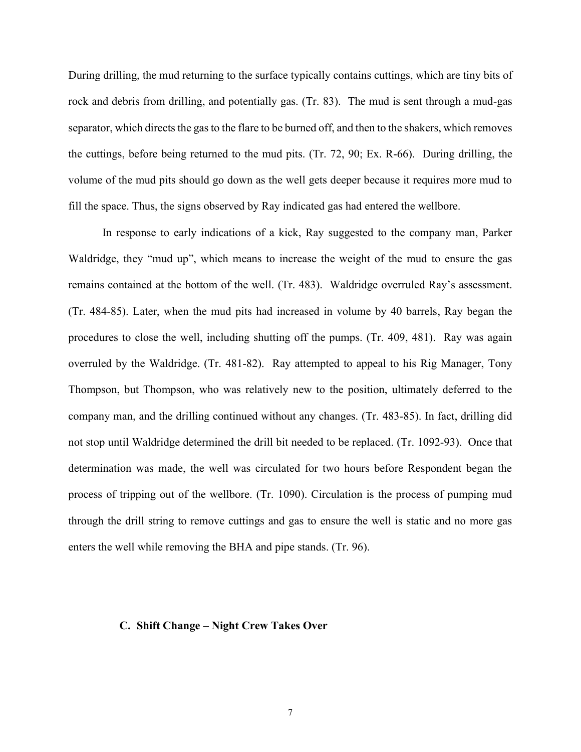During drilling, the mud returning to the surface typically contains cuttings, which are tiny bits of rock and debris from drilling, and potentially gas. (Tr. 83). The mud is sent through a mud-gas separator, which directs the gas to the flare to be burned off, and then to the shakers, which removes the cuttings, before being returned to the mud pits. (Tr. 72, 90; Ex. R-66). During drilling, the volume of the mud pits should go down as the well gets deeper because it requires more mud to fill the space. Thus, the signs observed by Ray indicated gas had entered the wellbore.

In response to early indications of a kick, Ray suggested to the company man, Parker Waldridge, they "mud up", which means to increase the weight of the mud to ensure the gas remains contained at the bottom of the well. (Tr. 483). Waldridge overruled Ray's assessment. (Tr. 484-85). Later, when the mud pits had increased in volume by 40 barrels, Ray began the procedures to close the well, including shutting off the pumps. (Tr. 409, 481). Ray was again overruled by the Waldridge. (Tr. 481-82). Ray attempted to appeal to his Rig Manager, Tony Thompson, but Thompson, who was relatively new to the position, ultimately deferred to the company man, and the drilling continued without any changes. (Tr. 483-85). In fact, drilling did not stop until Waldridge determined the drill bit needed to be replaced. (Tr. 1092-93). Once that determination was made, the well was circulated for two hours before Respondent began the process of tripping out of the wellbore. (Tr. 1090). Circulation is the process of pumping mud through the drill string to remove cuttings and gas to ensure the well is static and no more gas enters the well while removing the BHA and pipe stands. (Tr. 96).

#### **C. Shift Change – Night Crew Takes Over**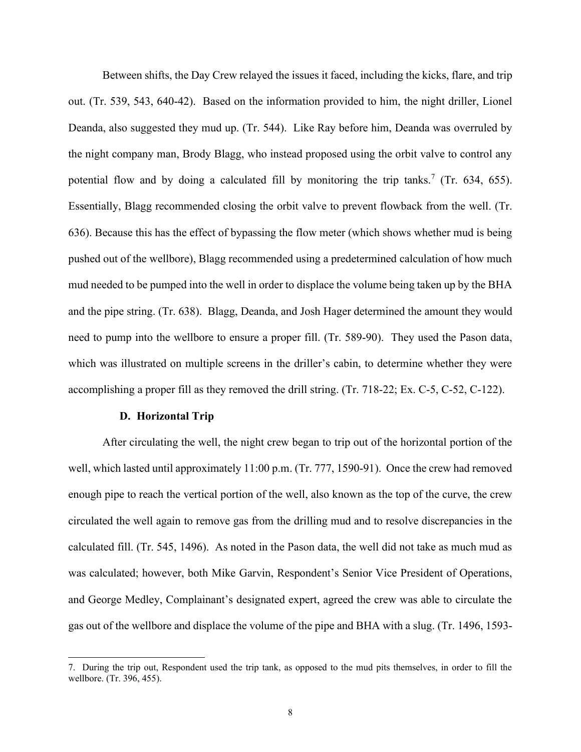Between shifts, the Day Crew relayed the issues it faced, including the kicks, flare, and trip out. (Tr. 539, 543, 640-42). Based on the information provided to him, the night driller, Lionel Deanda, also suggested they mud up. (Tr. 544). Like Ray before him, Deanda was overruled by the night company man, Brody Blagg, who instead proposed using the orbit valve to control any potential flow and by doing a calculated fill by monitoring the trip tanks.<sup>7</sup> (Tr. 634, 655). Essentially, Blagg recommended closing the orbit valve to prevent flowback from the well. (Tr. 636). Because this has the effect of bypassing the flow meter (which shows whether mud is being pushed out of the wellbore), Blagg recommended using a predetermined calculation of how much mud needed to be pumped into the well in order to displace the volume being taken up by the BHA and the pipe string. (Tr. 638). Blagg, Deanda, and Josh Hager determined the amount they would need to pump into the wellbore to ensure a proper fill. (Tr. 589-90). They used the Pason data, which was illustrated on multiple screens in the driller's cabin, to determine whether they were accomplishing a proper fill as they removed the drill string. (Tr. 718-22; Ex. C-5, C-52, C-122).

#### **D. Horizontal Trip**

After circulating the well, the night crew began to trip out of the horizontal portion of the well, which lasted until approximately 11:00 p.m. (Tr. 777, 1590-91). Once the crew had removed enough pipe to reach the vertical portion of the well, also known as the top of the curve, the crew circulated the well again to remove gas from the drilling mud and to resolve discrepancies in the calculated fill. (Tr. 545, 1496). As noted in the Pason data, the well did not take as much mud as was calculated; however, both Mike Garvin, Respondent's Senior Vice President of Operations, and George Medley, Complainant's designated expert, agreed the crew was able to circulate the gas out of the wellbore and displace the volume of the pipe and BHA with a slug. (Tr. 1496, 1593-

<sup>7.</sup> During the trip out, Respondent used the trip tank, as opposed to the mud pits themselves, in order to fill the wellbore. (Tr. 396, 455).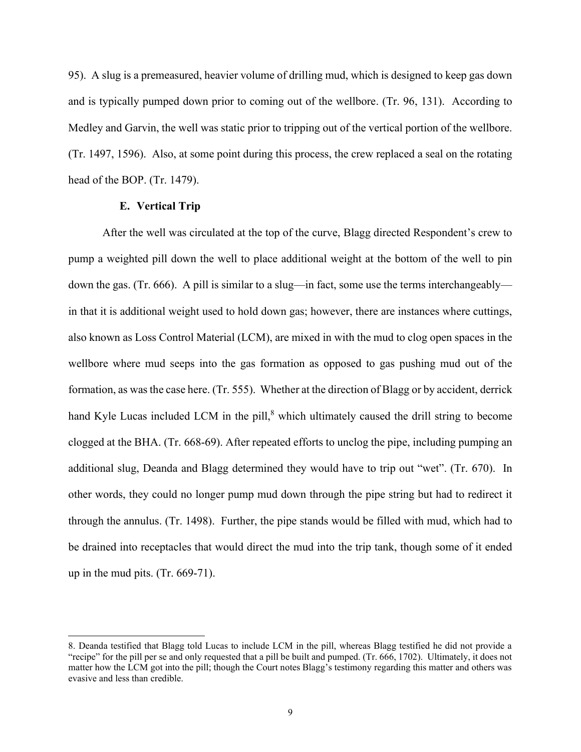95). A slug is a premeasured, heavier volume of drilling mud, which is designed to keep gas down and is typically pumped down prior to coming out of the wellbore. (Tr. 96, 131). According to Medley and Garvin, the well was static prior to tripping out of the vertical portion of the wellbore. (Tr. 1497, 1596). Also, at some point during this process, the crew replaced a seal on the rotating head of the BOP. (Tr. 1479).

## **E. Vertical Trip**

After the well was circulated at the top of the curve, Blagg directed Respondent's crew to pump a weighted pill down the well to place additional weight at the bottom of the well to pin down the gas. (Tr. 666). A pill is similar to a slug—in fact, some use the terms interchangeably in that it is additional weight used to hold down gas; however, there are instances where cuttings, also known as Loss Control Material (LCM), are mixed in with the mud to clog open spaces in the wellbore where mud seeps into the gas formation as opposed to gas pushing mud out of the formation, as was the case here. (Tr. 555). Whether at the direction of Blagg or by accident, derrick hand Kyle Lucas included LCM in the pill,<sup>8</sup> which ultimately caused the drill string to become clogged at the BHA. (Tr. 668-69). After repeated efforts to unclog the pipe, including pumping an additional slug, Deanda and Blagg determined they would have to trip out "wet". (Tr. 670). In other words, they could no longer pump mud down through the pipe string but had to redirect it through the annulus. (Tr. 1498). Further, the pipe stands would be filled with mud, which had to be drained into receptacles that would direct the mud into the trip tank, though some of it ended up in the mud pits. (Tr. 669-71).

<sup>8.</sup> Deanda testified that Blagg told Lucas to include LCM in the pill, whereas Blagg testified he did not provide a "recipe" for the pill per se and only requested that a pill be built and pumped. (Tr. 666, 1702). Ultimately, it does not matter how the LCM got into the pill; though the Court notes Blagg's testimony regarding this matter and others was evasive and less than credible.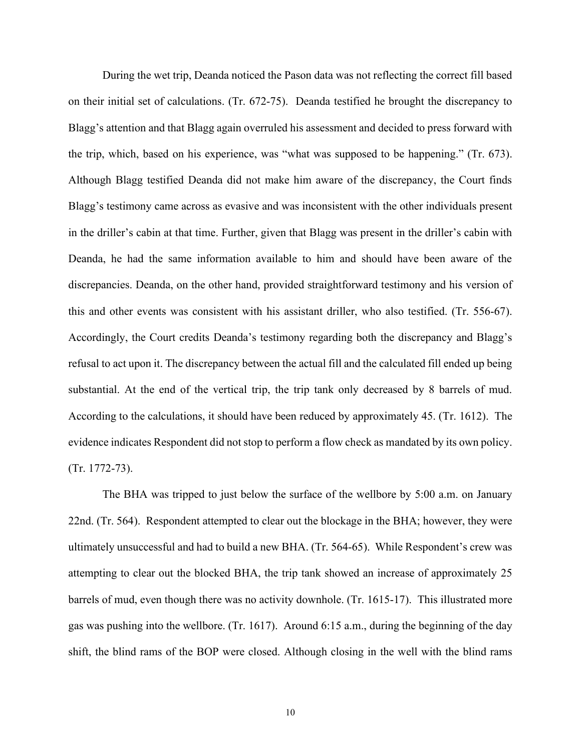During the wet trip, Deanda noticed the Pason data was not reflecting the correct fill based on their initial set of calculations. (Tr. 672-75). Deanda testified he brought the discrepancy to Blagg's attention and that Blagg again overruled his assessment and decided to press forward with the trip, which, based on his experience, was "what was supposed to be happening." (Tr. 673). Although Blagg testified Deanda did not make him aware of the discrepancy, the Court finds Blagg's testimony came across as evasive and was inconsistent with the other individuals present in the driller's cabin at that time. Further, given that Blagg was present in the driller's cabin with Deanda, he had the same information available to him and should have been aware of the discrepancies. Deanda, on the other hand, provided straightforward testimony and his version of this and other events was consistent with his assistant driller, who also testified. (Tr. 556-67). Accordingly, the Court credits Deanda's testimony regarding both the discrepancy and Blagg's refusal to act upon it. The discrepancy between the actual fill and the calculated fill ended up being substantial. At the end of the vertical trip, the trip tank only decreased by 8 barrels of mud. According to the calculations, it should have been reduced by approximately 45. (Tr. 1612). The evidence indicates Respondent did not stop to perform a flow check as mandated by its own policy. (Tr. 1772-73).

The BHA was tripped to just below the surface of the wellbore by 5:00 a.m. on January 22nd. (Tr. 564). Respondent attempted to clear out the blockage in the BHA; however, they were ultimately unsuccessful and had to build a new BHA. (Tr. 564-65). While Respondent's crew was attempting to clear out the blocked BHA, the trip tank showed an increase of approximately 25 barrels of mud, even though there was no activity downhole. (Tr. 1615-17). This illustrated more gas was pushing into the wellbore. (Tr. 1617). Around 6:15 a.m., during the beginning of the day shift, the blind rams of the BOP were closed. Although closing in the well with the blind rams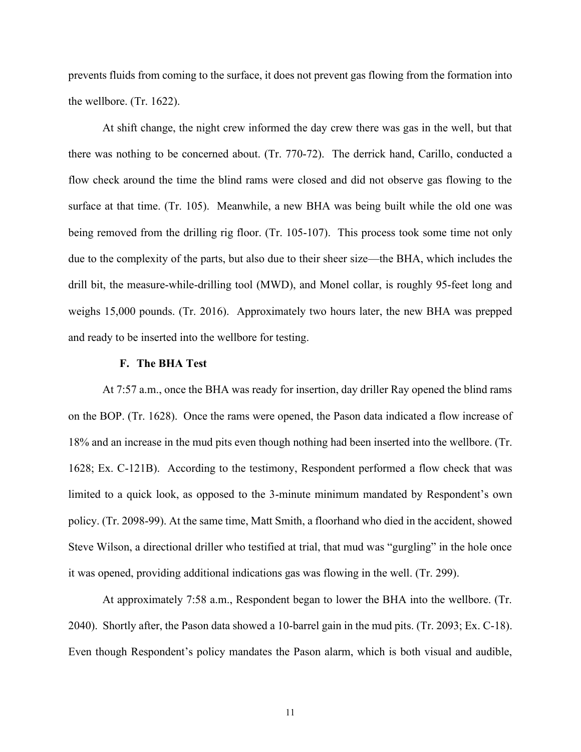prevents fluids from coming to the surface, it does not prevent gas flowing from the formation into the wellbore. (Tr. 1622).

At shift change, the night crew informed the day crew there was gas in the well, but that there was nothing to be concerned about. (Tr. 770-72). The derrick hand, Carillo, conducted a flow check around the time the blind rams were closed and did not observe gas flowing to the surface at that time. (Tr. 105). Meanwhile, a new BHA was being built while the old one was being removed from the drilling rig floor. (Tr. 105-107). This process took some time not only due to the complexity of the parts, but also due to their sheer size—the BHA, which includes the drill bit, the measure-while-drilling tool (MWD), and Monel collar, is roughly 95-feet long and weighs 15,000 pounds. (Tr. 2016). Approximately two hours later, the new BHA was prepped and ready to be inserted into the wellbore for testing.

#### **F. The BHA Test**

At 7:57 a.m., once the BHA was ready for insertion, day driller Ray opened the blind rams on the BOP. (Tr. 1628). Once the rams were opened, the Pason data indicated a flow increase of 18% and an increase in the mud pits even though nothing had been inserted into the wellbore. (Tr. 1628; Ex. C-121B). According to the testimony, Respondent performed a flow check that was limited to a quick look, as opposed to the 3-minute minimum mandated by Respondent's own policy. (Tr. 2098-99). At the same time, Matt Smith, a floorhand who died in the accident, showed Steve Wilson, a directional driller who testified at trial, that mud was "gurgling" in the hole once it was opened, providing additional indications gas was flowing in the well. (Tr. 299).

At approximately 7:58 a.m., Respondent began to lower the BHA into the wellbore. (Tr. 2040). Shortly after, the Pason data showed a 10-barrel gain in the mud pits. (Tr. 2093; Ex. C-18). Even though Respondent's policy mandates the Pason alarm, which is both visual and audible,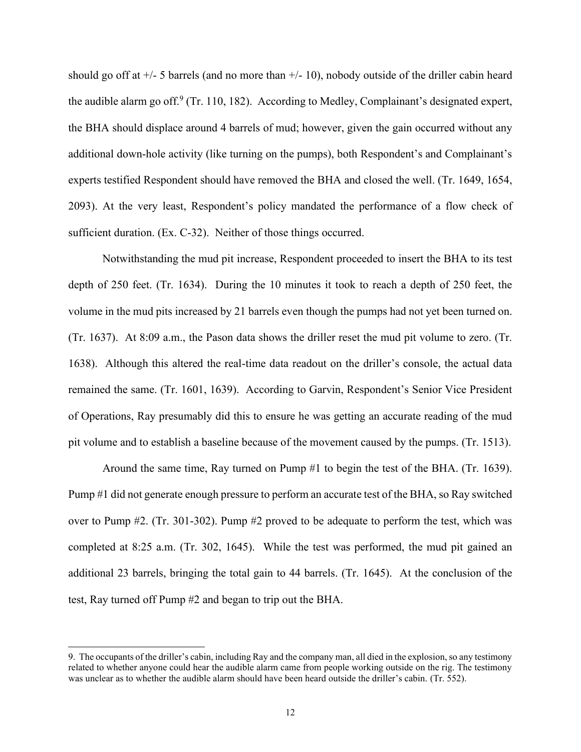should go off at  $+/-$  5 barrels (and no more than  $+/-$  10), nobody outside of the driller cabin heard the audible alarm go off.<sup>9</sup> (Tr. 110, 182). According to Medley, Complainant's designated expert, the BHA should displace around 4 barrels of mud; however, given the gain occurred without any additional down-hole activity (like turning on the pumps), both Respondent's and Complainant's experts testified Respondent should have removed the BHA and closed the well. (Tr. 1649, 1654, 2093). At the very least, Respondent's policy mandated the performance of a flow check of sufficient duration. (Ex. C-32). Neither of those things occurred.

Notwithstanding the mud pit increase, Respondent proceeded to insert the BHA to its test depth of 250 feet. (Tr. 1634). During the 10 minutes it took to reach a depth of 250 feet, the volume in the mud pits increased by 21 barrels even though the pumps had not yet been turned on. (Tr. 1637). At 8:09 a.m., the Pason data shows the driller reset the mud pit volume to zero. (Tr. 1638). Although this altered the real-time data readout on the driller's console, the actual data remained the same. (Tr. 1601, 1639). According to Garvin, Respondent's Senior Vice President of Operations, Ray presumably did this to ensure he was getting an accurate reading of the mud pit volume and to establish a baseline because of the movement caused by the pumps. (Tr. 1513).

Around the same time, Ray turned on Pump #1 to begin the test of the BHA. (Tr. 1639). Pump #1 did not generate enough pressure to perform an accurate test of the BHA, so Ray switched over to Pump #2. (Tr. 301-302). Pump #2 proved to be adequate to perform the test, which was completed at 8:25 a.m. (Tr. 302, 1645). While the test was performed, the mud pit gained an additional 23 barrels, bringing the total gain to 44 barrels. (Tr. 1645). At the conclusion of the test, Ray turned off Pump #2 and began to trip out the BHA.

<sup>9.</sup> The occupants of the driller's cabin, including Ray and the company man, all died in the explosion, so any testimony related to whether anyone could hear the audible alarm came from people working outside on the rig. The testimony was unclear as to whether the audible alarm should have been heard outside the driller's cabin. (Tr. 552).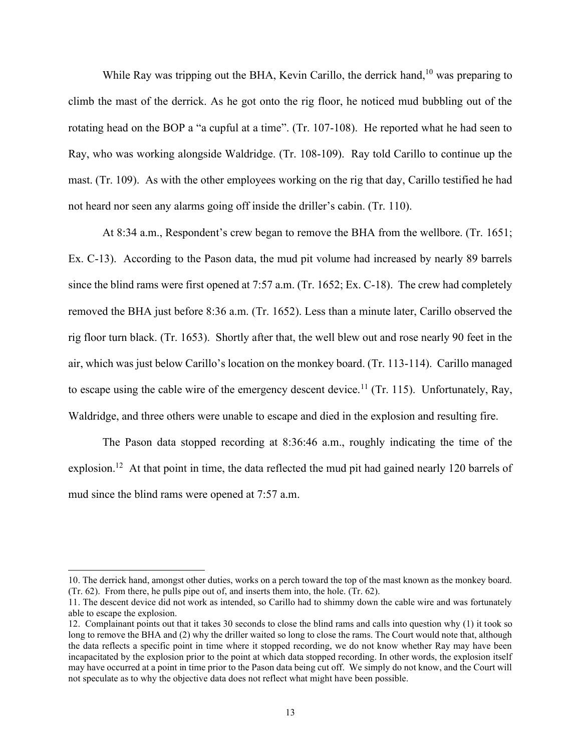While Ray was tripping out the BHA, Kevin Carillo, the derrick hand,<sup>10</sup> was preparing to climb the mast of the derrick. As he got onto the rig floor, he noticed mud bubbling out of the rotating head on the BOP a "a cupful at a time". (Tr. 107-108). He reported what he had seen to Ray, who was working alongside Waldridge. (Tr. 108-109). Ray told Carillo to continue up the mast. (Tr. 109). As with the other employees working on the rig that day, Carillo testified he had not heard nor seen any alarms going off inside the driller's cabin. (Tr. 110).

At 8:34 a.m., Respondent's crew began to remove the BHA from the wellbore. (Tr. 1651; Ex. C-13). According to the Pason data, the mud pit volume had increased by nearly 89 barrels since the blind rams were first opened at 7:57 a.m. (Tr. 1652; Ex. C-18). The crew had completely removed the BHA just before 8:36 a.m. (Tr. 1652). Less than a minute later, Carillo observed the rig floor turn black. (Tr. 1653). Shortly after that, the well blew out and rose nearly 90 feet in the air, which was just below Carillo's location on the monkey board. (Tr. 113-114). Carillo managed to escape using the cable wire of the emergency descent device.<sup>11</sup> (Tr. 115). Unfortunately, Ray, Waldridge, and three others were unable to escape and died in the explosion and resulting fire.

The Pason data stopped recording at 8:36:46 a.m., roughly indicating the time of the explosion.<sup>12</sup> At that point in time, the data reflected the mud pit had gained nearly 120 barrels of mud since the blind rams were opened at 7:57 a.m.

<sup>10.</sup> The derrick hand, amongst other duties, works on a perch toward the top of the mast known as the monkey board. (Tr. 62). From there, he pulls pipe out of, and inserts them into, the hole. (Tr. 62).

<sup>11.</sup> The descent device did not work as intended, so Carillo had to shimmy down the cable wire and was fortunately able to escape the explosion.

<sup>12.</sup> Complainant points out that it takes 30 seconds to close the blind rams and calls into question why (1) it took so long to remove the BHA and (2) why the driller waited so long to close the rams. The Court would note that, although the data reflects a specific point in time where it stopped recording, we do not know whether Ray may have been incapacitated by the explosion prior to the point at which data stopped recording. In other words, the explosion itself may have occurred at a point in time prior to the Pason data being cut off. We simply do not know, and the Court will not speculate as to why the objective data does not reflect what might have been possible.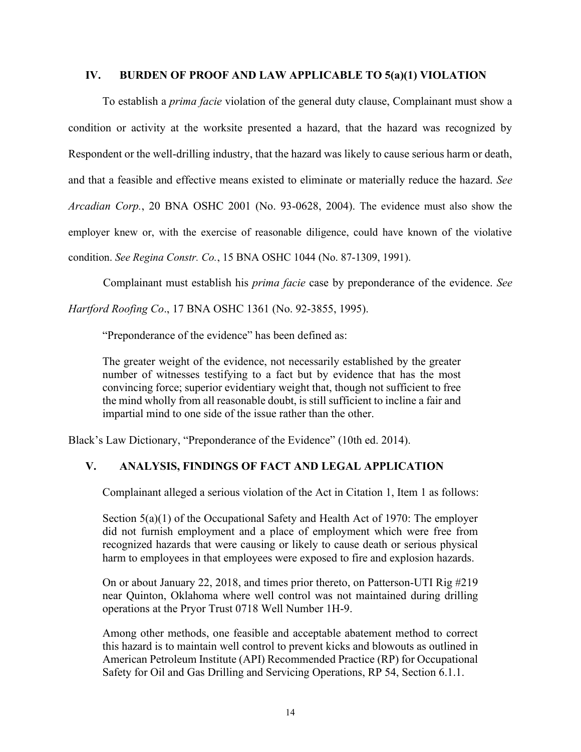# **IV. BURDEN OF PROOF AND LAW APPLICABLE TO 5(a)(1) VIOLATION**

To establish a *prima facie* violation of the general duty clause, Complainant must show a condition or activity at the worksite presented a hazard, that the hazard was recognized by Respondent or the well-drilling industry, that the hazard was likely to cause serious harm or death, and that a feasible and effective means existed to eliminate or materially reduce the hazard. *See Arcadian Corp.*, 20 BNA OSHC 2001 (No. 93-0628, 2004). The evidence must also show the employer knew or, with the exercise of reasonable diligence, could have known of the violative condition. *See Regina Constr. Co.*, 15 BNA OSHC 1044 (No. 87-1309, 1991).

Complainant must establish his *prima facie* case by preponderance of the evidence. *See* 

*Hartford Roofing Co*., 17 BNA OSHC 1361 (No. 92-3855, 1995).

"Preponderance of the evidence" has been defined as:

The greater weight of the evidence, not necessarily established by the greater number of witnesses testifying to a fact but by evidence that has the most convincing force; superior evidentiary weight that, though not sufficient to free the mind wholly from all reasonable doubt, is still sufficient to incline a fair and impartial mind to one side of the issue rather than the other.

Black's Law Dictionary, "Preponderance of the Evidence" (10th ed. 2014).

# **V. ANALYSIS, FINDINGS OF FACT AND LEGAL APPLICATION**

Complainant alleged a serious violation of the Act in Citation 1, Item 1 as follows:

Section  $5(a)(1)$  of the Occupational Safety and Health Act of 1970: The employer did not furnish employment and a place of employment which were free from recognized hazards that were causing or likely to cause death or serious physical harm to employees in that employees were exposed to fire and explosion hazards.

On or about January 22, 2018, and times prior thereto, on Patterson-UTI Rig #219 near Quinton, Oklahoma where well control was not maintained during drilling operations at the Pryor Trust 0718 Well Number 1H-9.

Among other methods, one feasible and acceptable abatement method to correct this hazard is to maintain well control to prevent kicks and blowouts as outlined in American Petroleum Institute (API) Recommended Practice (RP) for Occupational Safety for Oil and Gas Drilling and Servicing Operations, RP 54, Section 6.1.1.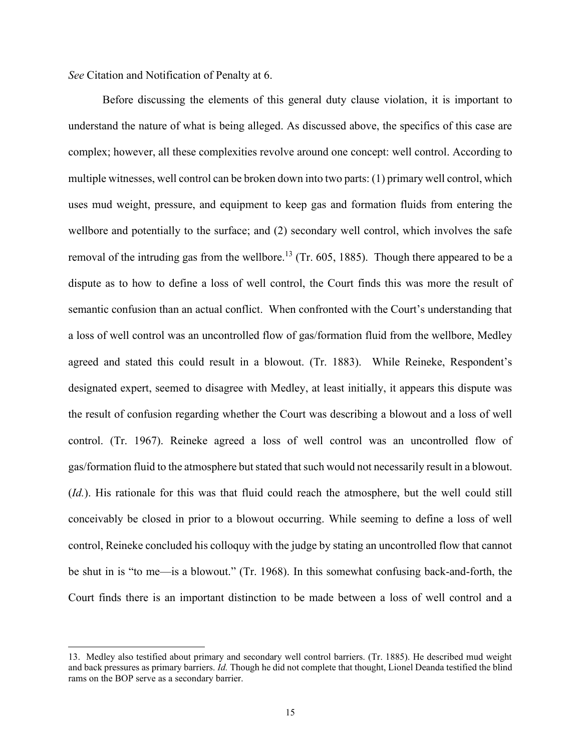*See* Citation and Notification of Penalty at 6.

Before discussing the elements of this general duty clause violation, it is important to understand the nature of what is being alleged. As discussed above, the specifics of this case are complex; however, all these complexities revolve around one concept: well control. According to multiple witnesses, well control can be broken down into two parts: (1) primary well control, which uses mud weight, pressure, and equipment to keep gas and formation fluids from entering the wellbore and potentially to the surface; and (2) secondary well control, which involves the safe removal of the intruding gas from the wellbore.<sup>13</sup> (Tr. 605, 1885). Though there appeared to be a dispute as to how to define a loss of well control, the Court finds this was more the result of semantic confusion than an actual conflict. When confronted with the Court's understanding that a loss of well control was an uncontrolled flow of gas/formation fluid from the wellbore, Medley agreed and stated this could result in a blowout. (Tr. 1883). While Reineke, Respondent's designated expert, seemed to disagree with Medley, at least initially, it appears this dispute was the result of confusion regarding whether the Court was describing a blowout and a loss of well control. (Tr. 1967). Reineke agreed a loss of well control was an uncontrolled flow of gas/formation fluid to the atmosphere but stated that such would not necessarily result in a blowout. (*Id.*). His rationale for this was that fluid could reach the atmosphere, but the well could still conceivably be closed in prior to a blowout occurring. While seeming to define a loss of well control, Reineke concluded his colloquy with the judge by stating an uncontrolled flow that cannot be shut in is "to me—is a blowout." (Tr. 1968). In this somewhat confusing back-and-forth, the Court finds there is an important distinction to be made between a loss of well control and a

<sup>13.</sup> Medley also testified about primary and secondary well control barriers. (Tr. 1885). He described mud weight and back pressures as primary barriers. *Id.* Though he did not complete that thought, Lionel Deanda testified the blind rams on the BOP serve as a secondary barrier.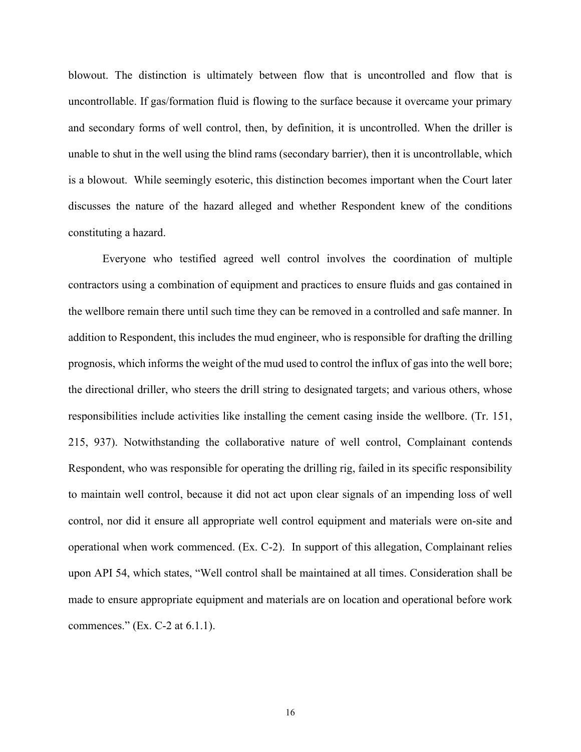blowout. The distinction is ultimately between flow that is uncontrolled and flow that is uncontrollable. If gas/formation fluid is flowing to the surface because it overcame your primary and secondary forms of well control, then, by definition, it is uncontrolled. When the driller is unable to shut in the well using the blind rams (secondary barrier), then it is uncontrollable, which is a blowout. While seemingly esoteric, this distinction becomes important when the Court later discusses the nature of the hazard alleged and whether Respondent knew of the conditions constituting a hazard.

Everyone who testified agreed well control involves the coordination of multiple contractors using a combination of equipment and practices to ensure fluids and gas contained in the wellbore remain there until such time they can be removed in a controlled and safe manner. In addition to Respondent, this includes the mud engineer, who is responsible for drafting the drilling prognosis, which informs the weight of the mud used to control the influx of gas into the well bore; the directional driller, who steers the drill string to designated targets; and various others, whose responsibilities include activities like installing the cement casing inside the wellbore. (Tr. 151, 215, 937). Notwithstanding the collaborative nature of well control, Complainant contends Respondent, who was responsible for operating the drilling rig, failed in its specific responsibility to maintain well control, because it did not act upon clear signals of an impending loss of well control, nor did it ensure all appropriate well control equipment and materials were on-site and operational when work commenced. (Ex. C-2). In support of this allegation, Complainant relies upon API 54, which states, "Well control shall be maintained at all times. Consideration shall be made to ensure appropriate equipment and materials are on location and operational before work commences." (Ex. C-2 at 6.1.1).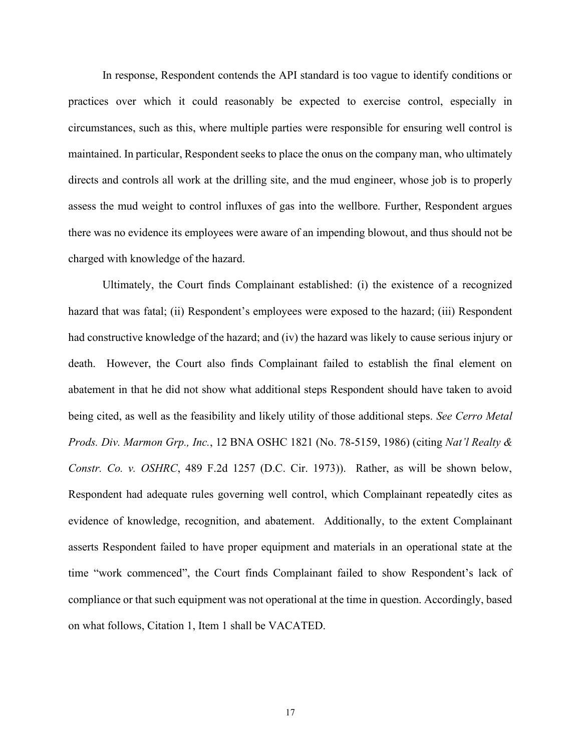In response, Respondent contends the API standard is too vague to identify conditions or practices over which it could reasonably be expected to exercise control, especially in circumstances, such as this, where multiple parties were responsible for ensuring well control is maintained. In particular, Respondent seeks to place the onus on the company man, who ultimately directs and controls all work at the drilling site, and the mud engineer, whose job is to properly assess the mud weight to control influxes of gas into the wellbore. Further, Respondent argues there was no evidence its employees were aware of an impending blowout, and thus should not be charged with knowledge of the hazard.

Ultimately, the Court finds Complainant established: (i) the existence of a recognized hazard that was fatal; (ii) Respondent's employees were exposed to the hazard; (iii) Respondent had constructive knowledge of the hazard; and (iv) the hazard was likely to cause serious injury or death. However, the Court also finds Complainant failed to establish the final element on abatement in that he did not show what additional steps Respondent should have taken to avoid being cited, as well as the feasibility and likely utility of those additional steps. *See Cerro Metal Prods. Div. Marmon Grp., Inc.*, 12 BNA OSHC 1821 (No. 78-5159, 1986) (citing *Nat'l Realty & Constr. Co. v. OSHRC*, 489 F.2d 1257 (D.C. Cir. 1973)). Rather, as will be shown below, Respondent had adequate rules governing well control, which Complainant repeatedly cites as evidence of knowledge, recognition, and abatement. Additionally, to the extent Complainant asserts Respondent failed to have proper equipment and materials in an operational state at the time "work commenced", the Court finds Complainant failed to show Respondent's lack of compliance or that such equipment was not operational at the time in question. Accordingly, based on what follows, Citation 1, Item 1 shall be VACATED.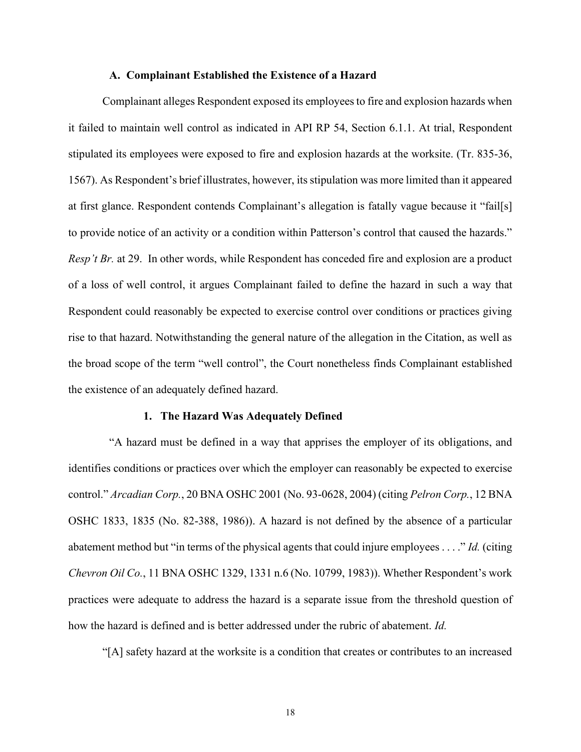# **A. Complainant Established the Existence of a Hazard**

Complainant alleges Respondent exposed its employees to fire and explosion hazards when it failed to maintain well control as indicated in API RP 54, Section 6.1.1. At trial, Respondent stipulated its employees were exposed to fire and explosion hazards at the worksite. (Tr. 835-36, 1567). As Respondent's brief illustrates, however, its stipulation was more limited than it appeared at first glance. Respondent contends Complainant's allegation is fatally vague because it "fail[s] to provide notice of an activity or a condition within Patterson's control that caused the hazards." *Resp't Br.* at 29. In other words, while Respondent has conceded fire and explosion are a product of a loss of well control, it argues Complainant failed to define the hazard in such a way that Respondent could reasonably be expected to exercise control over conditions or practices giving rise to that hazard. Notwithstanding the general nature of the allegation in the Citation, as well as the broad scope of the term "well control", the Court nonetheless finds Complainant established the existence of an adequately defined hazard.

#### **1. The Hazard Was Adequately Defined**

"A hazard must be defined in a way that apprises the employer of its obligations, and identifies conditions or practices over which the employer can reasonably be expected to exercise control." *Arcadian Corp.*, 20 BNA OSHC 2001 (No. 93-0628, 2004) (citing *Pelron Corp.*, 12 BNA OSHC 1833, 1835 (No. 82-388, 1986)). A hazard is not defined by the absence of a particular abatement method but "in terms of the physical agents that could injure employees . . . ." *Id.* (citing *Chevron Oil Co.*, 11 BNA OSHC 1329, 1331 n.6 (No. 10799, 1983)). Whether Respondent's work practices were adequate to address the hazard is a separate issue from the threshold question of how the hazard is defined and is better addressed under the rubric of abatement. *Id.*

"[A] safety hazard at the worksite is a condition that creates or contributes to an increased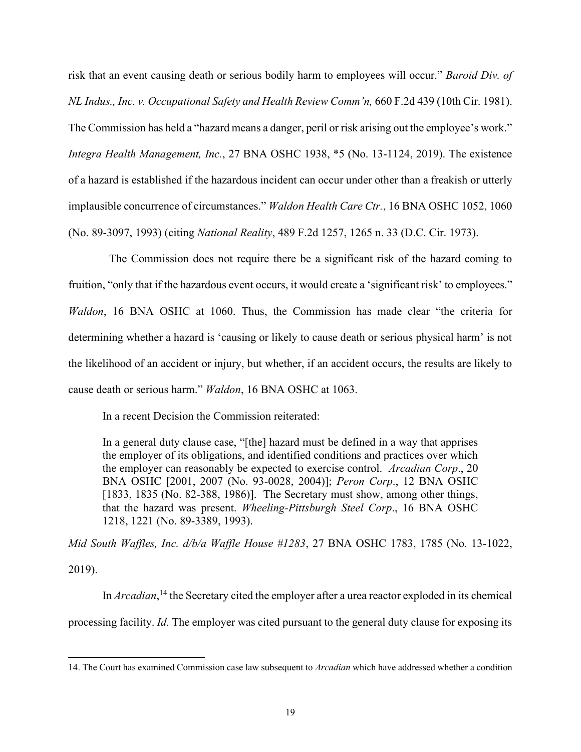risk that an event causing death or serious bodily harm to employees will occur." *Baroid Div. of NL Indus., Inc. v. Occupational Safety and Health Review Comm'n,* 660 F.2d 439 (10th Cir. 1981). The Commission has held a "hazard means a danger, peril or risk arising out the employee's work." *Integra Health Management, Inc.*, 27 BNA OSHC 1938, \*5 (No. 13-1124, 2019). The existence of a hazard is established if the hazardous incident can occur under other than a freakish or utterly implausible concurrence of circumstances." *Waldon Health Care Ctr.*, 16 BNA OSHC 1052, 1060 (No. 89-3097, 1993) (citing *National Reality*, 489 F.2d 1257, 1265 n. 33 (D.C. Cir. 1973).

The Commission does not require there be a significant risk of the hazard coming to fruition, "only that if the hazardous event occurs, it would create a 'significant risk' to employees." *Waldon*, 16 BNA OSHC at 1060. Thus, the Commission has made clear "the criteria for determining whether a hazard is 'causing or likely to cause death or serious physical harm' is not the likelihood of an accident or injury, but whether, if an accident occurs, the results are likely to cause death or serious harm." *Waldon*, 16 BNA OSHC at 1063.

In a recent Decision the Commission reiterated:

In a general duty clause case, "[the] hazard must be defined in a way that apprises the employer of its obligations, and identified conditions and practices over which the employer can reasonably be expected to exercise control. *Arcadian Corp*., 20 BNA OSHC [2001, 2007 (No. 93-0028, 2004)]; *Peron Corp*., 12 BNA OSHC [1833, 1835 (No. 82-388, 1986)]. The Secretary must show, among other things, that the hazard was present. *Wheeling-Pittsburgh Steel Corp*., 16 BNA OSHC 1218, 1221 (No. 89-3389, 1993).

*Mid South Waffles, Inc. d/b/a Waffle House #1283*, 27 BNA OSHC 1783, 1785 (No. 13-1022,

2019).

In *Arcadian*, <sup>14</sup> the Secretary cited the employer after a urea reactor exploded in its chemical processing facility. *Id.* The employer was cited pursuant to the general duty clause for exposing its

<sup>14.</sup> The Court has examined Commission case law subsequent to *Arcadian* which have addressed whether a condition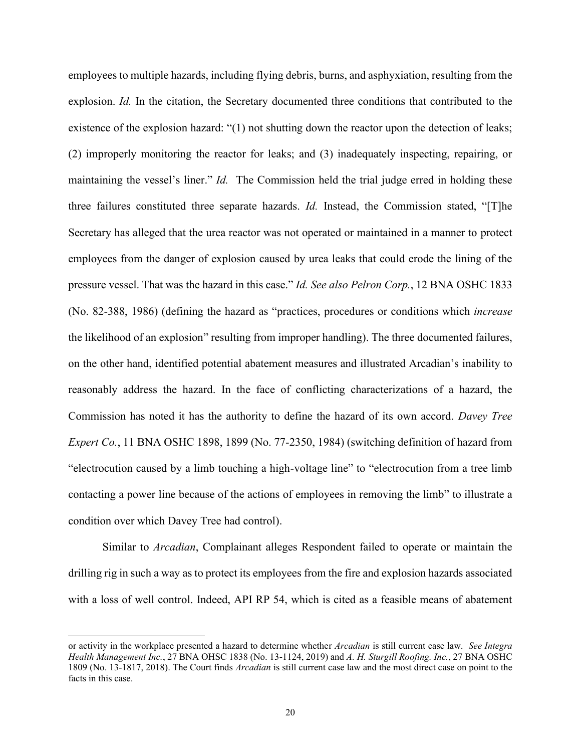employees to multiple hazards, including flying debris, burns, and asphyxiation, resulting from the explosion. *Id.* In the citation, the Secretary documented three conditions that contributed to the existence of the explosion hazard: "(1) not shutting down the reactor upon the detection of leaks; (2) improperly monitoring the reactor for leaks; and (3) inadequately inspecting, repairing, or maintaining the vessel's liner." *Id.* The Commission held the trial judge erred in holding these three failures constituted three separate hazards. *Id.* Instead, the Commission stated, "[T]he Secretary has alleged that the urea reactor was not operated or maintained in a manner to protect employees from the danger of explosion caused by urea leaks that could erode the lining of the pressure vessel. That was the hazard in this case." *Id. See also Pelron Corp.*, 12 BNA OSHC 1833 (No. 82-388, 1986) (defining the hazard as "practices, procedures or conditions which *increase* the likelihood of an explosion" resulting from improper handling). The three documented failures, on the other hand, identified potential abatement measures and illustrated Arcadian's inability to reasonably address the hazard. In the face of conflicting characterizations of a hazard, the Commission has noted it has the authority to define the hazard of its own accord. *Davey Tree Expert Co.*, 11 BNA OSHC 1898, 1899 (No. 77-2350, 1984) (switching definition of hazard from "electrocution caused by a limb touching a high-voltage line" to "electrocution from a tree limb contacting a power line because of the actions of employees in removing the limb" to illustrate a condition over which Davey Tree had control).

Similar to *Arcadian*, Complainant alleges Respondent failed to operate or maintain the drilling rig in such a way as to protect its employees from the fire and explosion hazards associated with a loss of well control. Indeed, API RP 54, which is cited as a feasible means of abatement

or activity in the workplace presented a hazard to determine whether *Arcadian* is still current case law. *See Integra Health Management Inc.*, 27 BNA OHSC 1838 (No. 13-1124, 2019) and *A. H. Sturgill Roofing. Inc.*, 27 BNA OSHC 1809 (No. 13-1817, 2018). The Court finds *Arcadian* is still current case law and the most direct case on point to the facts in this case.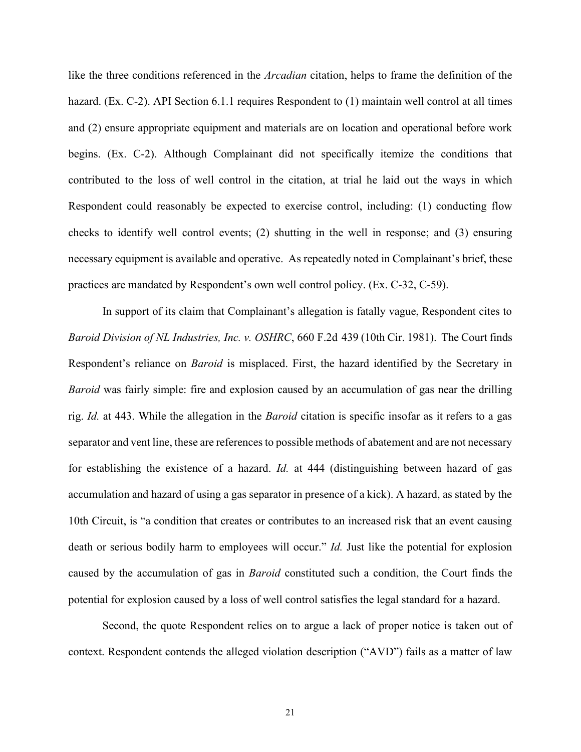like the three conditions referenced in the *Arcadian* citation, helps to frame the definition of the hazard. (Ex. C-2). API Section 6.1.1 requires Respondent to (1) maintain well control at all times and (2) ensure appropriate equipment and materials are on location and operational before work begins. (Ex. C-2). Although Complainant did not specifically itemize the conditions that contributed to the loss of well control in the citation, at trial he laid out the ways in which Respondent could reasonably be expected to exercise control, including: (1) conducting flow checks to identify well control events; (2) shutting in the well in response; and (3) ensuring necessary equipment is available and operative. As repeatedly noted in Complainant's brief, these practices are mandated by Respondent's own well control policy. (Ex. C-32, C-59).

In support of its claim that Complainant's allegation is fatally vague, Respondent cites to *Baroid Division of NL Industries, Inc. v. OSHRC*, 660 F.2d 439 (10th Cir. 1981). The Court finds Respondent's reliance on *Baroid* is misplaced. First, the hazard identified by the Secretary in *Baroid* was fairly simple: fire and explosion caused by an accumulation of gas near the drilling rig. *Id.* at 443. While the allegation in the *Baroid* citation is specific insofar as it refers to a gas separator and vent line, these are references to possible methods of abatement and are not necessary for establishing the existence of a hazard. *Id.* at 444 (distinguishing between hazard of gas accumulation and hazard of using a gas separator in presence of a kick). A hazard, as stated by the 10th Circuit, is "a condition that creates or contributes to an increased risk that an event causing death or serious bodily harm to employees will occur." *Id.* Just like the potential for explosion caused by the accumulation of gas in *Baroid* constituted such a condition, the Court finds the potential for explosion caused by a loss of well control satisfies the legal standard for a hazard.

Second, the quote Respondent relies on to argue a lack of proper notice is taken out of context. Respondent contends the alleged violation description ("AVD") fails as a matter of law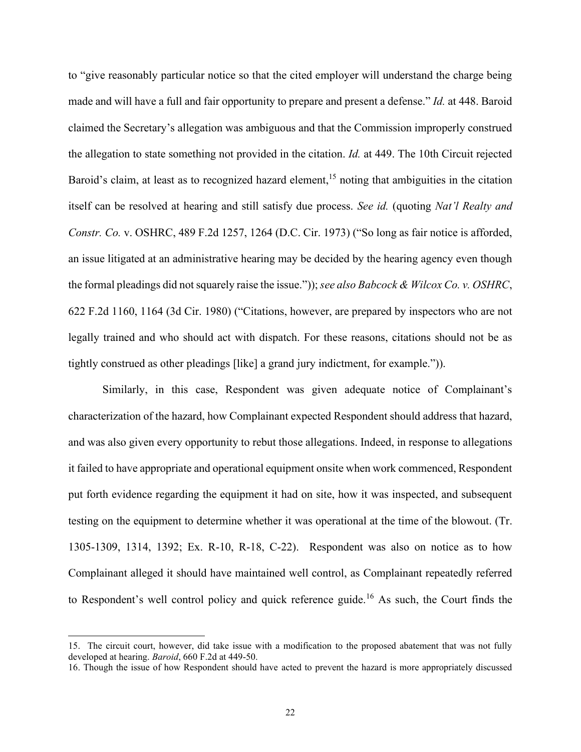to "give reasonably particular notice so that the cited employer will understand the charge being made and will have a full and fair opportunity to prepare and present a defense." *Id.* at 448. Baroid claimed the Secretary's allegation was ambiguous and that the Commission improperly construed the allegation to state something not provided in the citation. *Id.* at 449. The 10th Circuit rejected Baroid's claim, at least as to recognized hazard element,<sup>15</sup> noting that ambiguities in the citation itself can be resolved at hearing and still satisfy due process. *See id.* (quoting *Nat'l Realty and Constr. Co.* v. OSHRC, 489 F.2d 1257, 1264 (D.C. Cir. 1973) ("So long as fair notice is afforded, an issue litigated at an administrative hearing may be decided by the hearing agency even though the formal pleadings did not squarely raise the issue.")); *see also Babcock & Wilcox Co. v. OSHRC*, 622 F.2d 1160, 1164 (3d Cir. 1980) ("Citations, however, are prepared by inspectors who are not legally trained and who should act with dispatch. For these reasons, citations should not be as tightly construed as other pleadings [like] a grand jury indictment, for example.")).

Similarly, in this case, Respondent was given adequate notice of Complainant's characterization of the hazard, how Complainant expected Respondent should address that hazard, and was also given every opportunity to rebut those allegations. Indeed, in response to allegations it failed to have appropriate and operational equipment onsite when work commenced, Respondent put forth evidence regarding the equipment it had on site, how it was inspected, and subsequent testing on the equipment to determine whether it was operational at the time of the blowout. (Tr. 1305-1309, 1314, 1392; Ex. R-10, R-18, C-22). Respondent was also on notice as to how Complainant alleged it should have maintained well control, as Complainant repeatedly referred to Respondent's well control policy and quick reference guide.<sup>16</sup> As such, the Court finds the

<sup>15.</sup> The circuit court, however, did take issue with a modification to the proposed abatement that was not fully developed at hearing. *Baroid*, 660 F.2d at 449-50.

<sup>16.</sup> Though the issue of how Respondent should have acted to prevent the hazard is more appropriately discussed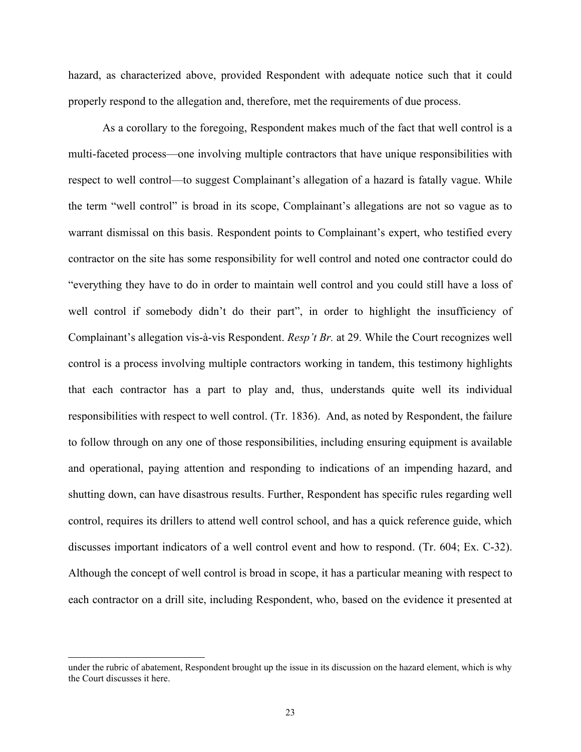hazard, as characterized above, provided Respondent with adequate notice such that it could properly respond to the allegation and, therefore, met the requirements of due process.

As a corollary to the foregoing, Respondent makes much of the fact that well control is a multi-faceted process—one involving multiple contractors that have unique responsibilities with respect to well control—to suggest Complainant's allegation of a hazard is fatally vague. While the term "well control" is broad in its scope, Complainant's allegations are not so vague as to warrant dismissal on this basis. Respondent points to Complainant's expert, who testified every contractor on the site has some responsibility for well control and noted one contractor could do "everything they have to do in order to maintain well control and you could still have a loss of well control if somebody didn't do their part", in order to highlight the insufficiency of Complainant's allegation vis-à-vis Respondent. *Resp't Br.* at 29. While the Court recognizes well control is a process involving multiple contractors working in tandem, this testimony highlights that each contractor has a part to play and, thus, understands quite well its individual responsibilities with respect to well control. (Tr. 1836). And, as noted by Respondent, the failure to follow through on any one of those responsibilities, including ensuring equipment is available and operational, paying attention and responding to indications of an impending hazard, and shutting down, can have disastrous results. Further, Respondent has specific rules regarding well control, requires its drillers to attend well control school, and has a quick reference guide, which discusses important indicators of a well control event and how to respond. (Tr. 604; Ex. C-32). Although the concept of well control is broad in scope, it has a particular meaning with respect to each contractor on a drill site, including Respondent, who, based on the evidence it presented at

under the rubric of abatement, Respondent brought up the issue in its discussion on the hazard element, which is why the Court discusses it here.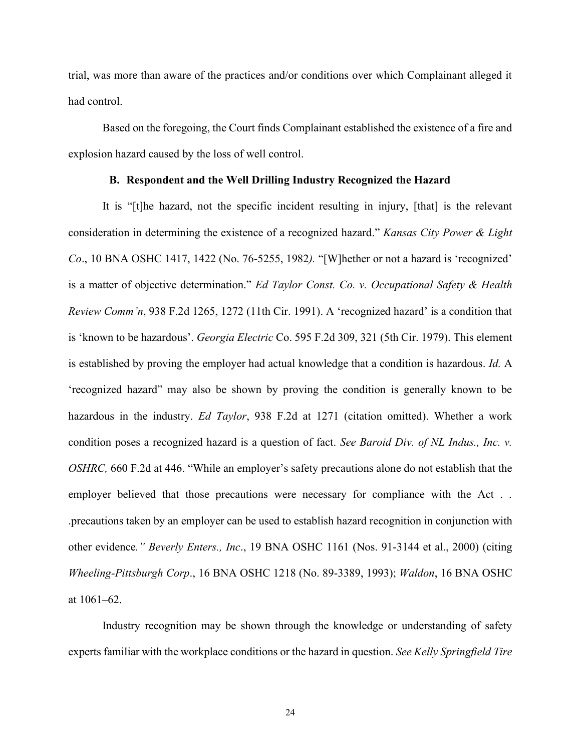trial, was more than aware of the practices and/or conditions over which Complainant alleged it had control.

Based on the foregoing, the Court finds Complainant established the existence of a fire and explosion hazard caused by the loss of well control.

## **B. Respondent and the Well Drilling Industry Recognized the Hazard**

It is "[t]he hazard, not the specific incident resulting in injury, [that] is the relevant consideration in determining the existence of a recognized hazard." *Kansas City Power & Light Co*., 10 BNA OSHC 1417, 1422 (No. 76-5255, 1982*).* "[W]hether or not a hazard is 'recognized' is a matter of objective determination." *Ed Taylor Const. Co. v. Occupational Safety & Health Review Comm'n*, 938 F.2d 1265, 1272 (11th Cir. 1991). A 'recognized hazard' is a condition that is 'known to be hazardous'. *Georgia Electric* Co. 595 F.2d 309, 321 (5th Cir. 1979). This element is established by proving the employer had actual knowledge that a condition is hazardous. *Id.* A 'recognized hazard" may also be shown by proving the condition is generally known to be hazardous in the industry. *Ed Taylor*, 938 F.2d at 1271 (citation omitted). Whether a work condition poses a recognized hazard is a question of fact. *See Baroid Div. of NL Indus., Inc. v. OSHRC,* 660 F.2d at 446. "While an employer's safety precautions alone do not establish that the employer believed that those precautions were necessary for compliance with the Act.. .precautions taken by an employer can be used to establish hazard recognition in conjunction with other evidence*." Beverly Enters., Inc*., 19 BNA OSHC 1161 (Nos. 91-3144 et al., 2000) (citing *Wheeling-Pittsburgh Corp*., 16 BNA OSHC 1218 (No. 89-3389, 1993); *Waldon*, 16 BNA OSHC at 1061–62.

Industry recognition may be shown through the knowledge or understanding of safety experts familiar with the workplace conditions or the hazard in question. *See Kelly Springfield Tire*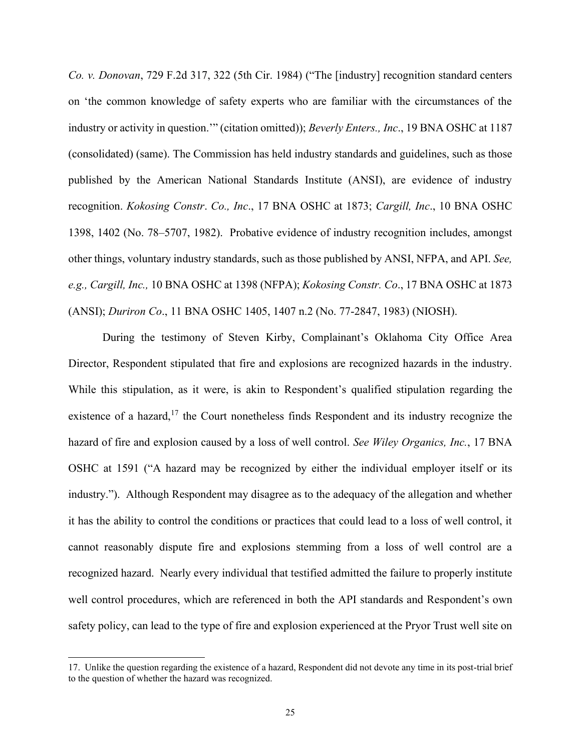*Co. v. Donovan*, 729 F.2d 317, 322 (5th Cir. 1984) ("The [industry] recognition standard centers on 'the common knowledge of safety experts who are familiar with the circumstances of the industry or activity in question.'" (citation omitted)); *Beverly Enters., Inc*., 19 BNA OSHC at 1187 (consolidated) (same). The Commission has held industry standards and guidelines, such as those published by the American National Standards Institute (ANSI), are evidence of industry recognition. *Kokosing Constr*. *Co., Inc*., 17 BNA OSHC at 1873; *Cargill, Inc*., 10 BNA OSHC 1398, 1402 (No. 78–5707, 1982). Probative evidence of industry recognition includes, amongst other things, voluntary industry standards, such as those published by ANSI, NFPA, and API. *See, e.g., Cargill, Inc.,* 10 BNA OSHC at 1398 (NFPA); *Kokosing Constr. Co*., 17 BNA OSHC at 1873 (ANSI); *Duriron Co*., 11 BNA OSHC 1405, 1407 n.2 (No. 77-2847, 1983) (NIOSH).

During the testimony of Steven Kirby, Complainant's Oklahoma City Office Area Director, Respondent stipulated that fire and explosions are recognized hazards in the industry. While this stipulation, as it were, is akin to Respondent's qualified stipulation regarding the existence of a hazard,<sup>17</sup> the Court nonetheless finds Respondent and its industry recognize the hazard of fire and explosion caused by a loss of well control. *See Wiley Organics, Inc.*, 17 BNA OSHC at 1591 ("A hazard may be recognized by either the individual employer itself or its industry."). Although Respondent may disagree as to the adequacy of the allegation and whether it has the ability to control the conditions or practices that could lead to a loss of well control, it cannot reasonably dispute fire and explosions stemming from a loss of well control are a recognized hazard. Nearly every individual that testified admitted the failure to properly institute well control procedures, which are referenced in both the API standards and Respondent's own safety policy, can lead to the type of fire and explosion experienced at the Pryor Trust well site on

<sup>17.</sup> Unlike the question regarding the existence of a hazard, Respondent did not devote any time in its post-trial brief to the question of whether the hazard was recognized.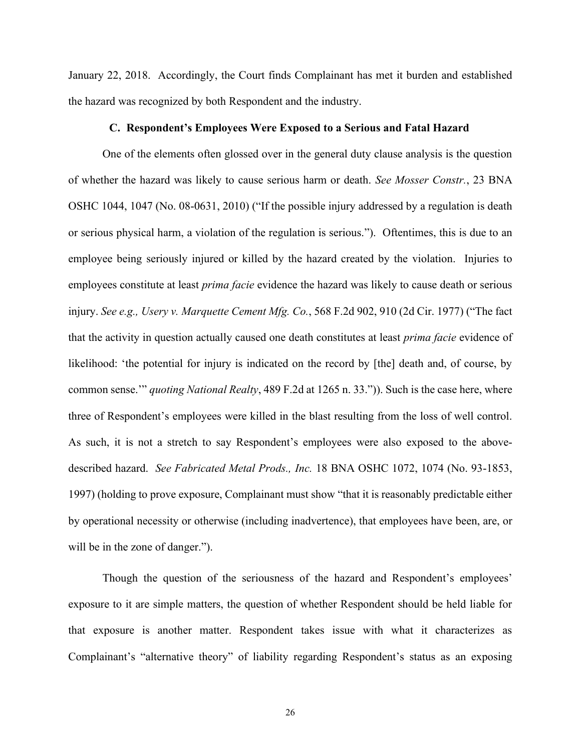January 22, 2018. Accordingly, the Court finds Complainant has met it burden and established the hazard was recognized by both Respondent and the industry.

#### **C. Respondent's Employees Were Exposed to a Serious and Fatal Hazard**

One of the elements often glossed over in the general duty clause analysis is the question of whether the hazard was likely to cause serious harm or death. *See Mosser Constr.*, 23 BNA OSHC 1044, 1047 (No. 08-0631, 2010) ("If the possible injury addressed by a regulation is death or serious physical harm, a violation of the regulation is serious."). Oftentimes, this is due to an employee being seriously injured or killed by the hazard created by the violation. Injuries to employees constitute at least *prima facie* evidence the hazard was likely to cause death or serious injury. *See e.g., Usery v. Marquette Cement Mfg. Co.*, 568 F.2d 902, 910 (2d Cir. 1977) ("The fact that the activity in question actually caused one death constitutes at least *prima facie* evidence of likelihood: 'the potential for injury is indicated on the record by [the] death and, of course, by common sense.'" *quoting National Realty*, 489 F.2d at 1265 n. 33.")). Such is the case here, where three of Respondent's employees were killed in the blast resulting from the loss of well control. As such, it is not a stretch to say Respondent's employees were also exposed to the abovedescribed hazard. *See Fabricated Metal Prods., Inc.* 18 BNA OSHC 1072, 1074 (No. 93-1853, 1997) (holding to prove exposure, Complainant must show "that it is reasonably predictable either by operational necessity or otherwise (including inadvertence), that employees have been, are, or will be in the zone of danger.").

Though the question of the seriousness of the hazard and Respondent's employees' exposure to it are simple matters, the question of whether Respondent should be held liable for that exposure is another matter. Respondent takes issue with what it characterizes as Complainant's "alternative theory" of liability regarding Respondent's status as an exposing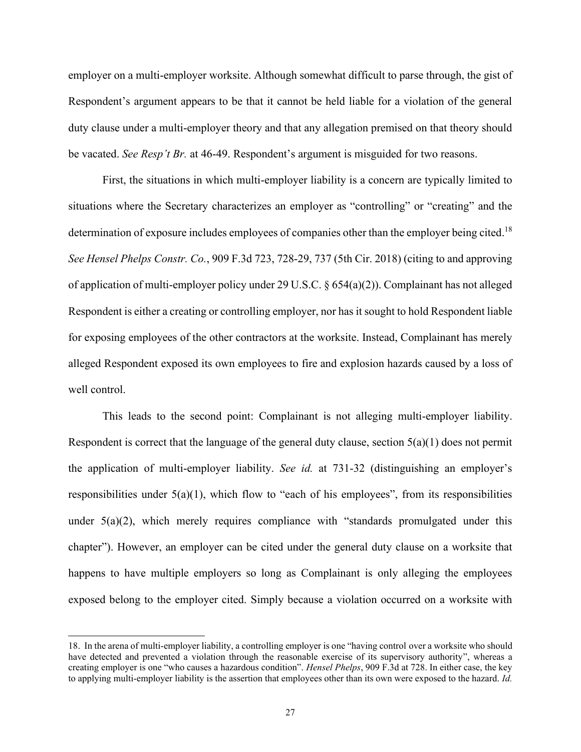employer on a multi-employer worksite. Although somewhat difficult to parse through, the gist of Respondent's argument appears to be that it cannot be held liable for a violation of the general duty clause under a multi-employer theory and that any allegation premised on that theory should be vacated. *See Resp't Br.* at 46-49. Respondent's argument is misguided for two reasons.

First, the situations in which multi-employer liability is a concern are typically limited to situations where the Secretary characterizes an employer as "controlling" or "creating" and the determination of exposure includes employees of companies other than the employer being cited.<sup>18</sup> *See Hensel Phelps Constr. Co.*, 909 F.3d 723, 728-29, 737 (5th Cir. 2018) (citing to and approving of application of multi-employer policy under 29 U.S.C. § 654(a)(2)). Complainant has not alleged Respondent is either a creating or controlling employer, nor has it sought to hold Respondent liable for exposing employees of the other contractors at the worksite. Instead, Complainant has merely alleged Respondent exposed its own employees to fire and explosion hazards caused by a loss of well control.

This leads to the second point: Complainant is not alleging multi-employer liability. Respondent is correct that the language of the general duty clause, section 5(a)(1) does not permit the application of multi-employer liability. *See id.* at 731-32 (distinguishing an employer's responsibilities under 5(a)(1), which flow to "each of his employees", from its responsibilities under 5(a)(2), which merely requires compliance with "standards promulgated under this chapter"). However, an employer can be cited under the general duty clause on a worksite that happens to have multiple employers so long as Complainant is only alleging the employees exposed belong to the employer cited. Simply because a violation occurred on a worksite with

<sup>18.</sup> In the arena of multi-employer liability, a controlling employer is one "having control over a worksite who should have detected and prevented a violation through the reasonable exercise of its supervisory authority", whereas a creating employer is one "who causes a hazardous condition". *Hensel Phelps*, 909 F.3d at 728. In either case, the key to applying multi-employer liability is the assertion that employees other than its own were exposed to the hazard. *Id.*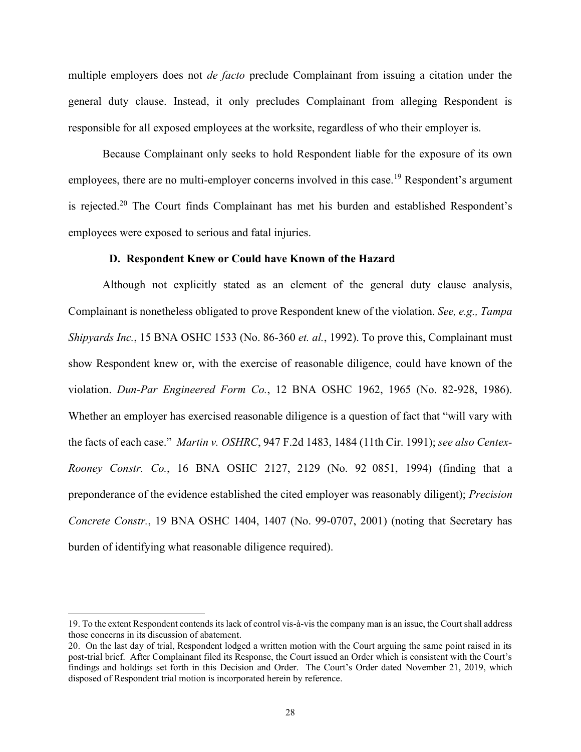multiple employers does not *de facto* preclude Complainant from issuing a citation under the general duty clause. Instead, it only precludes Complainant from alleging Respondent is responsible for all exposed employees at the worksite, regardless of who their employer is.

Because Complainant only seeks to hold Respondent liable for the exposure of its own employees, there are no multi-employer concerns involved in this case.<sup>19</sup> Respondent's argument is rejected.<sup>20</sup> The Court finds Complainant has met his burden and established Respondent's employees were exposed to serious and fatal injuries.

#### **D. Respondent Knew or Could have Known of the Hazard**

Although not explicitly stated as an element of the general duty clause analysis, Complainant is nonetheless obligated to prove Respondent knew of the violation. *See, e.g., Tampa Shipyards Inc.*, 15 BNA OSHC 1533 (No. 86-360 *et. al.*, 1992). To prove this, Complainant must show Respondent knew or, with the exercise of reasonable diligence, could have known of the violation. *Dun-Par Engineered Form Co.*, 12 BNA OSHC 1962, 1965 (No. 82-928, 1986). Whether an employer has exercised reasonable diligence is a question of fact that "will vary with the facts of each case." *Martin v. OSHRC*, 947 F.2d 1483, 1484 (11th Cir. 1991); *see also Centex-Rooney Constr. Co.*, 16 BNA OSHC 2127, 2129 (No. 92–0851, 1994) (finding that a preponderance of the evidence established the cited employer was reasonably diligent); *Precision Concrete Constr.*, 19 BNA OSHC 1404, 1407 (No. 99-0707, 2001) (noting that Secretary has burden of identifying what reasonable diligence required).

<sup>19.</sup> To the extent Respondent contends its lack of control vis-à-vis the company man is an issue, the Court shall address those concerns in its discussion of abatement.

<sup>20.</sup> On the last day of trial, Respondent lodged a written motion with the Court arguing the same point raised in its post-trial brief. After Complainant filed its Response, the Court issued an Order which is consistent with the Court's findings and holdings set forth in this Decision and Order. The Court's Order dated November 21, 2019, which disposed of Respondent trial motion is incorporated herein by reference.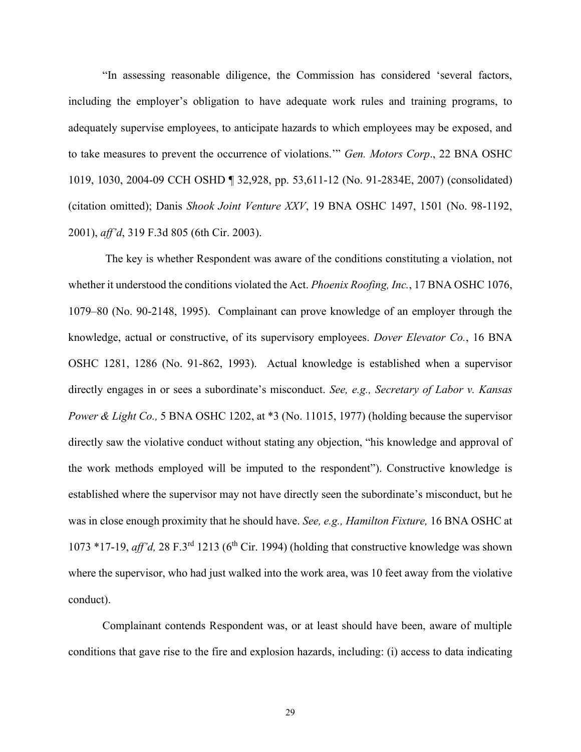"In assessing reasonable diligence, the Commission has considered 'several factors, including the employer's obligation to have adequate work rules and training programs, to adequately supervise employees, to anticipate hazards to which employees may be exposed, and to take measures to prevent the occurrence of violations.'" *Gen. Motors Corp*., 22 BNA OSHC 1019, 1030, 2004-09 CCH OSHD ¶ 32,928, pp. 53,611-12 (No. 91-2834E, 2007) (consolidated) (citation omitted); Danis *Shook Joint Venture XXV*, 19 BNA OSHC 1497, 1501 (No. 98-1192, 2001), *aff'd*, 319 F.3d 805 (6th Cir. 2003).

The key is whether Respondent was aware of the conditions constituting a violation, not whether it understood the conditions violated the Act. *Phoenix Roofing, Inc.*, 17 BNA OSHC 1076, 1079–80 (No. 90-2148, 1995). Complainant can prove knowledge of an employer through the knowledge, actual or constructive, of its supervisory employees. *Dover Elevator Co.*, 16 BNA OSHC 1281, 1286 (No. 91-862, 1993). Actual knowledge is established when a supervisor directly engages in or sees a subordinate's misconduct. *See, e.g., Secretary of Labor v. Kansas Power & Light Co.,* 5 BNA OSHC 1202, at \*3 (No. 11015, 1977) (holding because the supervisor directly saw the violative conduct without stating any objection, "his knowledge and approval of the work methods employed will be imputed to the respondent"). Constructive knowledge is established where the supervisor may not have directly seen the subordinate's misconduct, but he was in close enough proximity that he should have. *See, e.g., Hamilton Fixture,* 16 BNA OSHC at 1073  $*$ 17-19, *aff'd*, 28 F.3<sup>rd</sup> 1213 (6<sup>th</sup> Cir. 1994) (holding that constructive knowledge was shown where the supervisor, who had just walked into the work area, was 10 feet away from the violative conduct).

Complainant contends Respondent was, or at least should have been, aware of multiple conditions that gave rise to the fire and explosion hazards, including: (i) access to data indicating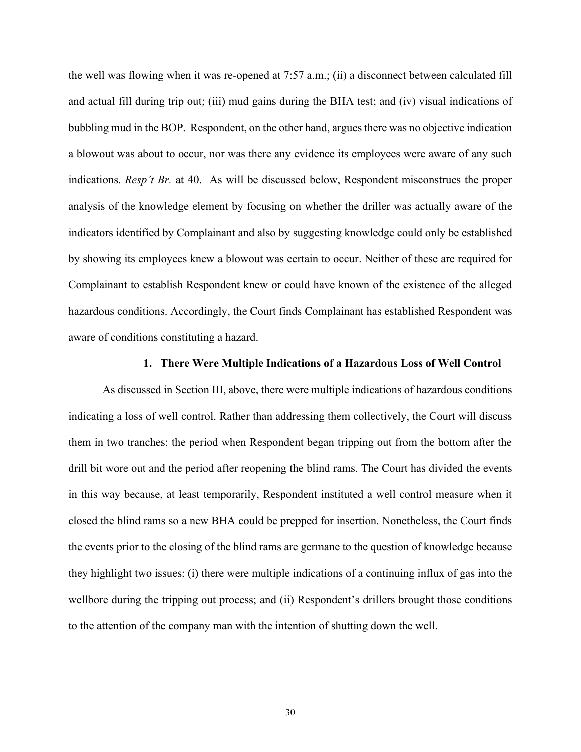the well was flowing when it was re-opened at 7:57 a.m.; (ii) a disconnect between calculated fill and actual fill during trip out; (iii) mud gains during the BHA test; and (iv) visual indications of bubbling mud in the BOP. Respondent, on the other hand, argues there was no objective indication a blowout was about to occur, nor was there any evidence its employees were aware of any such indications. *Resp't Br.* at 40. As will be discussed below, Respondent misconstrues the proper analysis of the knowledge element by focusing on whether the driller was actually aware of the indicators identified by Complainant and also by suggesting knowledge could only be established by showing its employees knew a blowout was certain to occur. Neither of these are required for Complainant to establish Respondent knew or could have known of the existence of the alleged hazardous conditions. Accordingly, the Court finds Complainant has established Respondent was aware of conditions constituting a hazard.

## **1. There Were Multiple Indications of a Hazardous Loss of Well Control**

As discussed in Section III, above, there were multiple indications of hazardous conditions indicating a loss of well control. Rather than addressing them collectively, the Court will discuss them in two tranches: the period when Respondent began tripping out from the bottom after the drill bit wore out and the period after reopening the blind rams. The Court has divided the events in this way because, at least temporarily, Respondent instituted a well control measure when it closed the blind rams so a new BHA could be prepped for insertion. Nonetheless, the Court finds the events prior to the closing of the blind rams are germane to the question of knowledge because they highlight two issues: (i) there were multiple indications of a continuing influx of gas into the wellbore during the tripping out process; and (ii) Respondent's drillers brought those conditions to the attention of the company man with the intention of shutting down the well.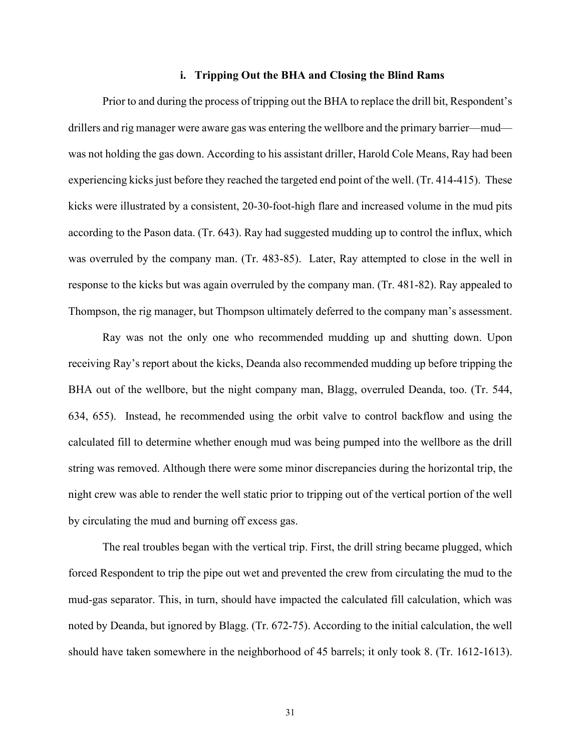#### **i. Tripping Out the BHA and Closing the Blind Rams**

Prior to and during the process of tripping out the BHA to replace the drill bit, Respondent's drillers and rig manager were aware gas was entering the wellbore and the primary barrier—mud was not holding the gas down. According to his assistant driller, Harold Cole Means, Ray had been experiencing kicks just before they reached the targeted end point of the well. (Tr. 414-415). These kicks were illustrated by a consistent, 20-30-foot-high flare and increased volume in the mud pits according to the Pason data. (Tr. 643). Ray had suggested mudding up to control the influx, which was overruled by the company man. (Tr. 483-85). Later, Ray attempted to close in the well in response to the kicks but was again overruled by the company man. (Tr. 481-82). Ray appealed to Thompson, the rig manager, but Thompson ultimately deferred to the company man's assessment.

Ray was not the only one who recommended mudding up and shutting down. Upon receiving Ray's report about the kicks, Deanda also recommended mudding up before tripping the BHA out of the wellbore, but the night company man, Blagg, overruled Deanda, too. (Tr. 544, 634, 655). Instead, he recommended using the orbit valve to control backflow and using the calculated fill to determine whether enough mud was being pumped into the wellbore as the drill string was removed. Although there were some minor discrepancies during the horizontal trip, the night crew was able to render the well static prior to tripping out of the vertical portion of the well by circulating the mud and burning off excess gas.

The real troubles began with the vertical trip. First, the drill string became plugged, which forced Respondent to trip the pipe out wet and prevented the crew from circulating the mud to the mud-gas separator. This, in turn, should have impacted the calculated fill calculation, which was noted by Deanda, but ignored by Blagg. (Tr. 672-75). According to the initial calculation, the well should have taken somewhere in the neighborhood of 45 barrels; it only took 8. (Tr. 1612-1613).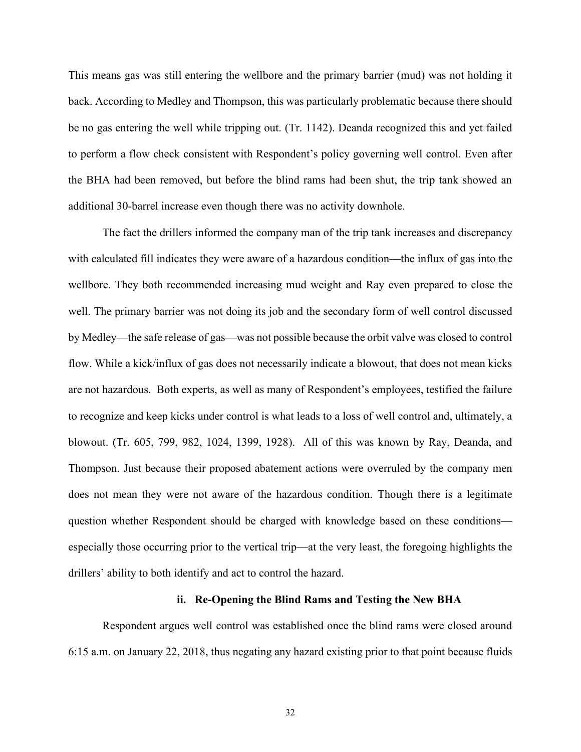This means gas was still entering the wellbore and the primary barrier (mud) was not holding it back. According to Medley and Thompson, this was particularly problematic because there should be no gas entering the well while tripping out. (Tr. 1142). Deanda recognized this and yet failed to perform a flow check consistent with Respondent's policy governing well control. Even after the BHA had been removed, but before the blind rams had been shut, the trip tank showed an additional 30-barrel increase even though there was no activity downhole.

The fact the drillers informed the company man of the trip tank increases and discrepancy with calculated fill indicates they were aware of a hazardous condition—the influx of gas into the wellbore. They both recommended increasing mud weight and Ray even prepared to close the well. The primary barrier was not doing its job and the secondary form of well control discussed by Medley—the safe release of gas—was not possible because the orbit valve was closed to control flow. While a kick/influx of gas does not necessarily indicate a blowout, that does not mean kicks are not hazardous. Both experts, as well as many of Respondent's employees, testified the failure to recognize and keep kicks under control is what leads to a loss of well control and, ultimately, a blowout. (Tr. 605, 799, 982, 1024, 1399, 1928). All of this was known by Ray, Deanda, and Thompson. Just because their proposed abatement actions were overruled by the company men does not mean they were not aware of the hazardous condition. Though there is a legitimate question whether Respondent should be charged with knowledge based on these conditions especially those occurring prior to the vertical trip—at the very least, the foregoing highlights the drillers' ability to both identify and act to control the hazard.

#### **ii. Re-Opening the Blind Rams and Testing the New BHA**

Respondent argues well control was established once the blind rams were closed around 6:15 a.m. on January 22, 2018, thus negating any hazard existing prior to that point because fluids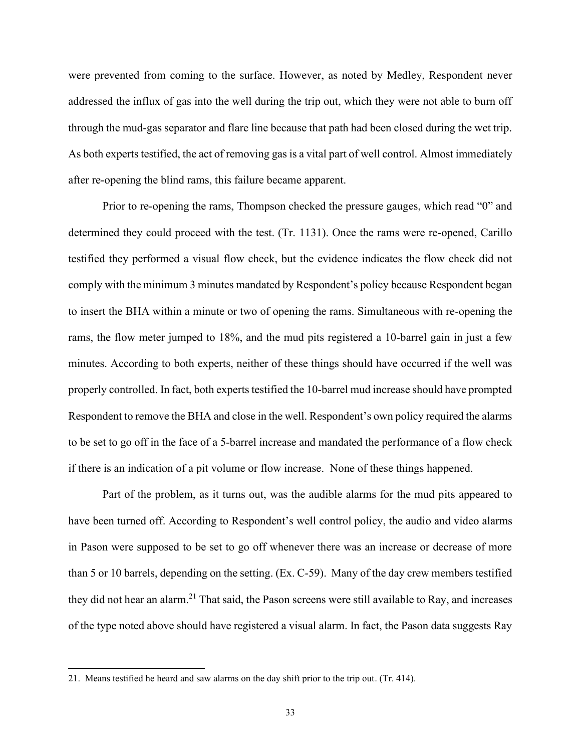were prevented from coming to the surface. However, as noted by Medley, Respondent never addressed the influx of gas into the well during the trip out, which they were not able to burn off through the mud-gas separator and flare line because that path had been closed during the wet trip. As both experts testified, the act of removing gas is a vital part of well control. Almost immediately after re-opening the blind rams, this failure became apparent.

Prior to re-opening the rams, Thompson checked the pressure gauges, which read "0" and determined they could proceed with the test. (Tr. 1131). Once the rams were re-opened, Carillo testified they performed a visual flow check, but the evidence indicates the flow check did not comply with the minimum 3 minutes mandated by Respondent's policy because Respondent began to insert the BHA within a minute or two of opening the rams. Simultaneous with re-opening the rams, the flow meter jumped to 18%, and the mud pits registered a 10-barrel gain in just a few minutes. According to both experts, neither of these things should have occurred if the well was properly controlled. In fact, both experts testified the 10-barrel mud increase should have prompted Respondent to remove the BHA and close in the well. Respondent's own policy required the alarms to be set to go off in the face of a 5-barrel increase and mandated the performance of a flow check if there is an indication of a pit volume or flow increase. None of these things happened.

Part of the problem, as it turns out, was the audible alarms for the mud pits appeared to have been turned off. According to Respondent's well control policy, the audio and video alarms in Pason were supposed to be set to go off whenever there was an increase or decrease of more than 5 or 10 barrels, depending on the setting. (Ex. C-59). Many of the day crew members testified they did not hear an alarm.<sup>21</sup> That said, the Pason screens were still available to Ray, and increases of the type noted above should have registered a visual alarm. In fact, the Pason data suggests Ray

<sup>21.</sup> Means testified he heard and saw alarms on the day shift prior to the trip out. (Tr. 414).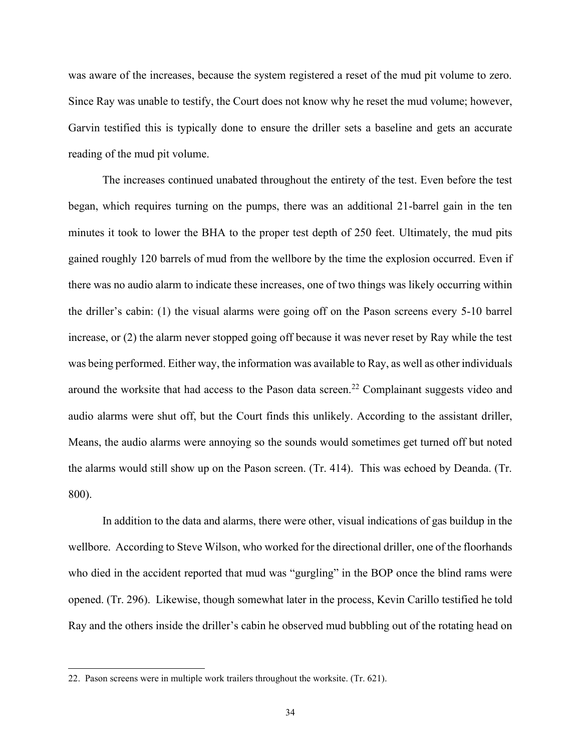was aware of the increases, because the system registered a reset of the mud pit volume to zero. Since Ray was unable to testify, the Court does not know why he reset the mud volume; however, Garvin testified this is typically done to ensure the driller sets a baseline and gets an accurate reading of the mud pit volume.

The increases continued unabated throughout the entirety of the test. Even before the test began, which requires turning on the pumps, there was an additional 21-barrel gain in the ten minutes it took to lower the BHA to the proper test depth of 250 feet. Ultimately, the mud pits gained roughly 120 barrels of mud from the wellbore by the time the explosion occurred. Even if there was no audio alarm to indicate these increases, one of two things was likely occurring within the driller's cabin: (1) the visual alarms were going off on the Pason screens every 5-10 barrel increase, or (2) the alarm never stopped going off because it was never reset by Ray while the test was being performed. Either way, the information was available to Ray, as well as other individuals around the worksite that had access to the Pason data screen.<sup>22</sup> Complainant suggests video and audio alarms were shut off, but the Court finds this unlikely. According to the assistant driller, Means, the audio alarms were annoying so the sounds would sometimes get turned off but noted the alarms would still show up on the Pason screen. (Tr. 414). This was echoed by Deanda. (Tr. 800).

In addition to the data and alarms, there were other, visual indications of gas buildup in the wellbore. According to Steve Wilson, who worked for the directional driller, one of the floorhands who died in the accident reported that mud was "gurgling" in the BOP once the blind rams were opened. (Tr. 296). Likewise, though somewhat later in the process, Kevin Carillo testified he told Ray and the others inside the driller's cabin he observed mud bubbling out of the rotating head on

<sup>22.</sup> Pason screens were in multiple work trailers throughout the worksite. (Tr. 621).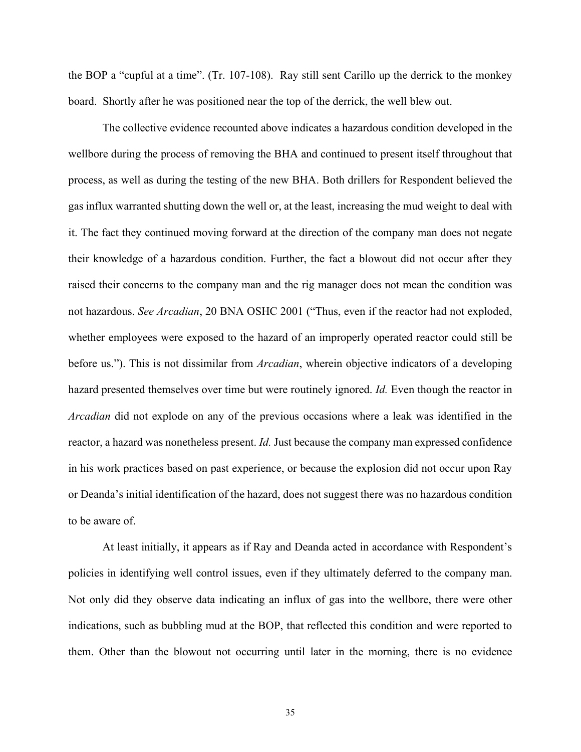the BOP a "cupful at a time". (Tr. 107-108). Ray still sent Carillo up the derrick to the monkey board. Shortly after he was positioned near the top of the derrick, the well blew out.

The collective evidence recounted above indicates a hazardous condition developed in the wellbore during the process of removing the BHA and continued to present itself throughout that process, as well as during the testing of the new BHA. Both drillers for Respondent believed the gas influx warranted shutting down the well or, at the least, increasing the mud weight to deal with it. The fact they continued moving forward at the direction of the company man does not negate their knowledge of a hazardous condition. Further, the fact a blowout did not occur after they raised their concerns to the company man and the rig manager does not mean the condition was not hazardous. *See Arcadian*, 20 BNA OSHC 2001 ("Thus, even if the reactor had not exploded, whether employees were exposed to the hazard of an improperly operated reactor could still be before us."). This is not dissimilar from *Arcadian*, wherein objective indicators of a developing hazard presented themselves over time but were routinely ignored. *Id.* Even though the reactor in *Arcadian* did not explode on any of the previous occasions where a leak was identified in the reactor, a hazard was nonetheless present. *Id.* Just because the company man expressed confidence in his work practices based on past experience, or because the explosion did not occur upon Ray or Deanda's initial identification of the hazard, does not suggest there was no hazardous condition to be aware of.

At least initially, it appears as if Ray and Deanda acted in accordance with Respondent's policies in identifying well control issues, even if they ultimately deferred to the company man. Not only did they observe data indicating an influx of gas into the wellbore, there were other indications, such as bubbling mud at the BOP, that reflected this condition and were reported to them. Other than the blowout not occurring until later in the morning, there is no evidence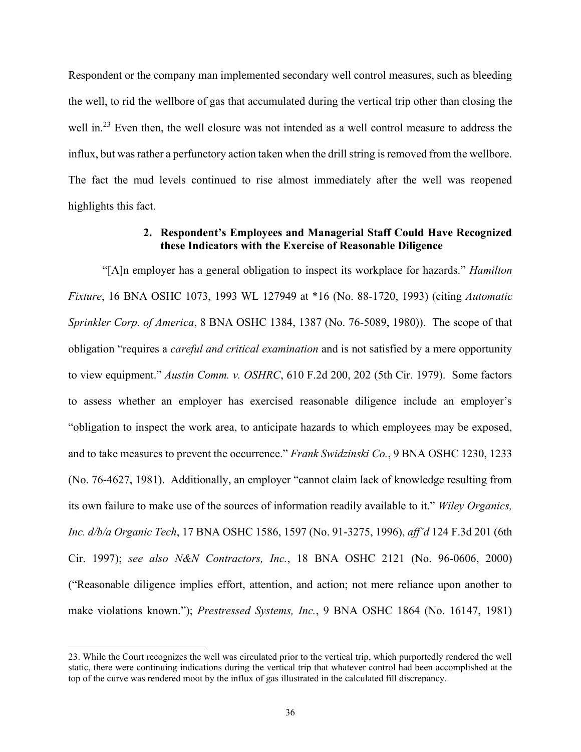Respondent or the company man implemented secondary well control measures, such as bleeding the well, to rid the wellbore of gas that accumulated during the vertical trip other than closing the well in.<sup>23</sup> Even then, the well closure was not intended as a well control measure to address the influx, but was rather a perfunctory action taken when the drill string is removed from the wellbore. The fact the mud levels continued to rise almost immediately after the well was reopened highlights this fact.

# **2. Respondent's Employees and Managerial Staff Could Have Recognized these Indicators with the Exercise of Reasonable Diligence**

"[A]n employer has a general obligation to inspect its workplace for hazards." *Hamilton Fixture*, 16 BNA OSHC 1073, 1993 WL 127949 at \*16 (No. 88-1720, 1993) (citing *Automatic Sprinkler Corp. of America*, 8 BNA OSHC 1384, 1387 (No. 76-5089, 1980)). The scope of that obligation "requires a *careful and critical examination* and is not satisfied by a mere opportunity to view equipment." *Austin Comm. v. OSHRC*, 610 F.2d 200, 202 (5th Cir. 1979). Some factors to assess whether an employer has exercised reasonable diligence include an employer's "obligation to inspect the work area, to anticipate hazards to which employees may be exposed, and to take measures to prevent the occurrence." *Frank Swidzinski Co.*, 9 BNA OSHC 1230, 1233 (No. 76-4627, 1981). Additionally, an employer "cannot claim lack of knowledge resulting from its own failure to make use of the sources of information readily available to it." *Wiley Organics, Inc. d/b/a Organic Tech*, 17 BNA OSHC 1586, 1597 (No. 91-3275, 1996), *aff'd* 124 F.3d 201 (6th Cir. 1997); *see also N&N Contractors, Inc.*, 18 BNA OSHC 2121 (No. 96-0606, 2000) ("Reasonable diligence implies effort, attention, and action; not mere reliance upon another to make violations known."); *Prestressed Systems, Inc.*, 9 BNA OSHC 1864 (No. 16147, 1981)

<sup>23.</sup> While the Court recognizes the well was circulated prior to the vertical trip, which purportedly rendered the well static, there were continuing indications during the vertical trip that whatever control had been accomplished at the top of the curve was rendered moot by the influx of gas illustrated in the calculated fill discrepancy.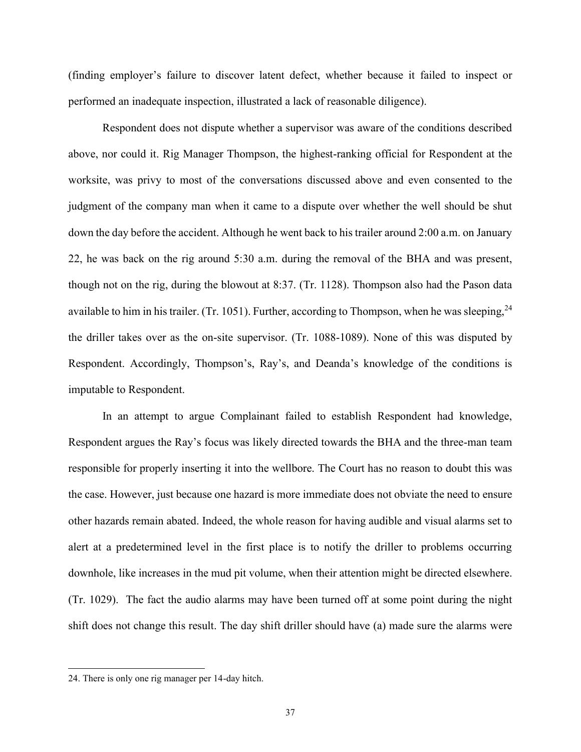(finding employer's failure to discover latent defect, whether because it failed to inspect or performed an inadequate inspection, illustrated a lack of reasonable diligence).

Respondent does not dispute whether a supervisor was aware of the conditions described above, nor could it. Rig Manager Thompson, the highest-ranking official for Respondent at the worksite, was privy to most of the conversations discussed above and even consented to the judgment of the company man when it came to a dispute over whether the well should be shut down the day before the accident. Although he went back to his trailer around 2:00 a.m. on January 22, he was back on the rig around 5:30 a.m. during the removal of the BHA and was present, though not on the rig, during the blowout at 8:37. (Tr. 1128). Thompson also had the Pason data available to him in his trailer. (Tr. 1051). Further, according to Thompson, when he was sleeping,  $24$ the driller takes over as the on-site supervisor. (Tr. 1088-1089). None of this was disputed by Respondent. Accordingly, Thompson's, Ray's, and Deanda's knowledge of the conditions is imputable to Respondent.

In an attempt to argue Complainant failed to establish Respondent had knowledge, Respondent argues the Ray's focus was likely directed towards the BHA and the three-man team responsible for properly inserting it into the wellbore. The Court has no reason to doubt this was the case. However, just because one hazard is more immediate does not obviate the need to ensure other hazards remain abated. Indeed, the whole reason for having audible and visual alarms set to alert at a predetermined level in the first place is to notify the driller to problems occurring downhole, like increases in the mud pit volume, when their attention might be directed elsewhere. (Tr. 1029). The fact the audio alarms may have been turned off at some point during the night shift does not change this result. The day shift driller should have (a) made sure the alarms were

<sup>24.</sup> There is only one rig manager per 14-day hitch.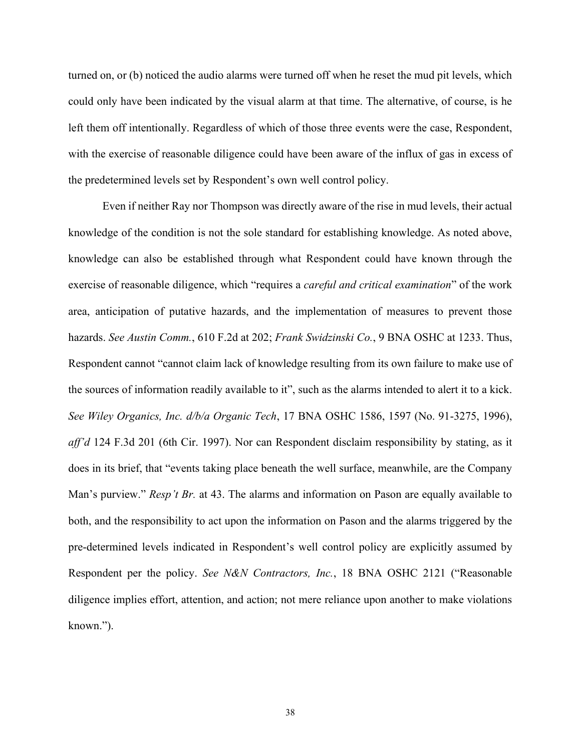turned on, or (b) noticed the audio alarms were turned off when he reset the mud pit levels, which could only have been indicated by the visual alarm at that time. The alternative, of course, is he left them off intentionally. Regardless of which of those three events were the case, Respondent, with the exercise of reasonable diligence could have been aware of the influx of gas in excess of the predetermined levels set by Respondent's own well control policy.

Even if neither Ray nor Thompson was directly aware of the rise in mud levels, their actual knowledge of the condition is not the sole standard for establishing knowledge. As noted above, knowledge can also be established through what Respondent could have known through the exercise of reasonable diligence, which "requires a *careful and critical examination*" of the work area, anticipation of putative hazards, and the implementation of measures to prevent those hazards. *See Austin Comm.*, 610 F.2d at 202; *Frank Swidzinski Co.*, 9 BNA OSHC at 1233. Thus, Respondent cannot "cannot claim lack of knowledge resulting from its own failure to make use of the sources of information readily available to it", such as the alarms intended to alert it to a kick. *See Wiley Organics, Inc. d/b/a Organic Tech*, 17 BNA OSHC 1586, 1597 (No. 91-3275, 1996), *aff'd* 124 F.3d 201 (6th Cir. 1997). Nor can Respondent disclaim responsibility by stating, as it does in its brief, that "events taking place beneath the well surface, meanwhile, are the Company Man's purview." *Resp't Br.* at 43. The alarms and information on Pason are equally available to both, and the responsibility to act upon the information on Pason and the alarms triggered by the pre-determined levels indicated in Respondent's well control policy are explicitly assumed by Respondent per the policy. *See N&N Contractors, Inc.*, 18 BNA OSHC 2121 ("Reasonable diligence implies effort, attention, and action; not mere reliance upon another to make violations known.").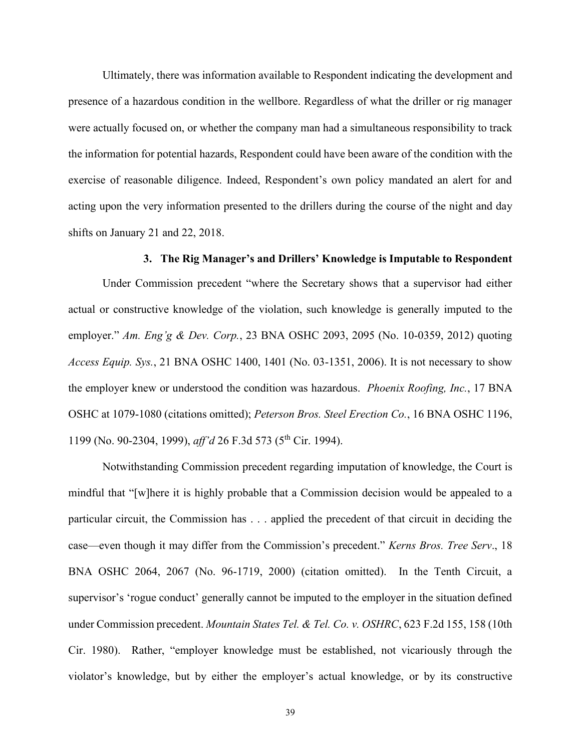Ultimately, there was information available to Respondent indicating the development and presence of a hazardous condition in the wellbore. Regardless of what the driller or rig manager were actually focused on, or whether the company man had a simultaneous responsibility to track the information for potential hazards, Respondent could have been aware of the condition with the exercise of reasonable diligence. Indeed, Respondent's own policy mandated an alert for and acting upon the very information presented to the drillers during the course of the night and day shifts on January 21 and 22, 2018.

## **3. The Rig Manager's and Drillers' Knowledge is Imputable to Respondent**

Under Commission precedent "where the Secretary shows that a supervisor had either actual or constructive knowledge of the violation, such knowledge is generally imputed to the employer." *Am. Eng'g & Dev. Corp.*, 23 BNA OSHC 2093, 2095 (No. 10-0359, 2012) quoting *Access Equip. Sys.*, 21 BNA OSHC 1400, 1401 (No. 03-1351, 2006). It is not necessary to show the employer knew or understood the condition was hazardous. *Phoenix Roofing, Inc.*, 17 BNA OSHC at 1079-1080 (citations omitted); *Peterson Bros. Steel Erection Co.*, 16 BNA OSHC 1196, 1199 (No. 90-2304, 1999), *aff'd* 26 F.3d 573 (5th Cir. 1994).

Notwithstanding Commission precedent regarding imputation of knowledge, the Court is mindful that "[w]here it is highly probable that a Commission decision would be appealed to a particular circuit, the Commission has . . . applied the precedent of that circuit in deciding the case—even though it may differ from the Commission's precedent." *Kerns Bros. Tree Serv*., 18 BNA OSHC 2064, 2067 (No. 96-1719, 2000) (citation omitted). In the Tenth Circuit, a supervisor's 'rogue conduct' generally cannot be imputed to the employer in the situation defined under Commission precedent. *Mountain States Tel. & Tel. Co. v. OSHRC*, 623 F.2d 155, 158 (10th Cir. 1980). Rather, "employer knowledge must be established, not vicariously through the violator's knowledge, but by either the employer's actual knowledge, or by its constructive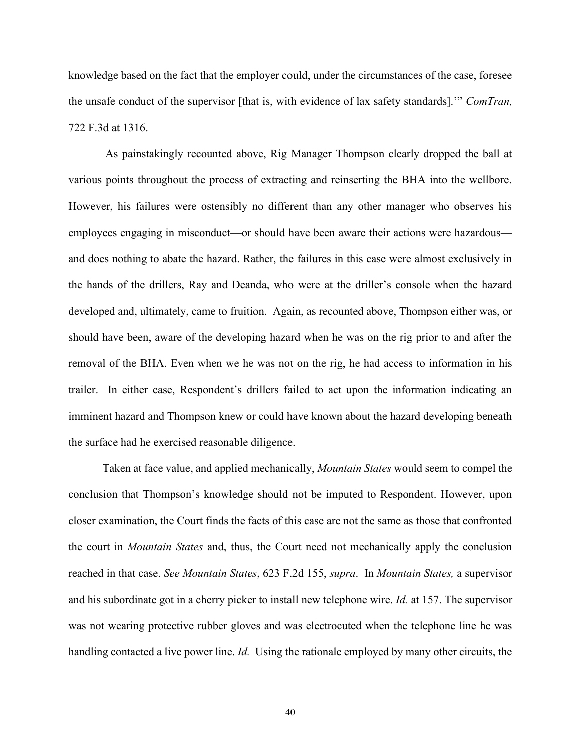knowledge based on the fact that the employer could, under the circumstances of the case, foresee the unsafe conduct of the supervisor [that is, with evidence of lax safety standards].'" *ComTran,* 722 F.3d at 1316.

As painstakingly recounted above, Rig Manager Thompson clearly dropped the ball at various points throughout the process of extracting and reinserting the BHA into the wellbore. However, his failures were ostensibly no different than any other manager who observes his employees engaging in misconduct—or should have been aware their actions were hazardous and does nothing to abate the hazard. Rather, the failures in this case were almost exclusively in the hands of the drillers, Ray and Deanda, who were at the driller's console when the hazard developed and, ultimately, came to fruition. Again, as recounted above, Thompson either was, or should have been, aware of the developing hazard when he was on the rig prior to and after the removal of the BHA. Even when we he was not on the rig, he had access to information in his trailer. In either case, Respondent's drillers failed to act upon the information indicating an imminent hazard and Thompson knew or could have known about the hazard developing beneath the surface had he exercised reasonable diligence.

Taken at face value, and applied mechanically, *Mountain States* would seem to compel the conclusion that Thompson's knowledge should not be imputed to Respondent. However, upon closer examination, the Court finds the facts of this case are not the same as those that confronted the court in *Mountain States* and, thus, the Court need not mechanically apply the conclusion reached in that case. *See Mountain States*, 623 F.2d 155, *supra*. In *Mountain States,* a supervisor and his subordinate got in a cherry picker to install new telephone wire. *Id.* at 157. The supervisor was not wearing protective rubber gloves and was electrocuted when the telephone line he was handling contacted a live power line. *Id.* Using the rationale employed by many other circuits, the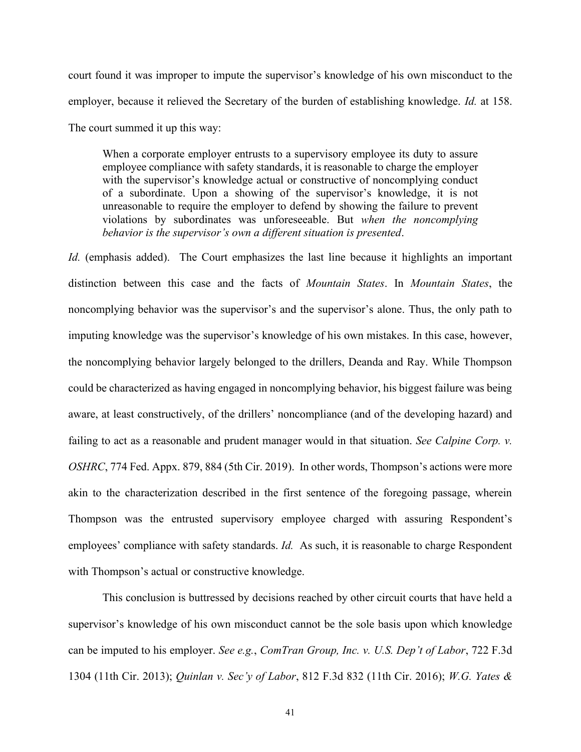court found it was improper to impute the supervisor's knowledge of his own misconduct to the employer, because it relieved the Secretary of the burden of establishing knowledge. *Id.* at 158. The court summed it up this way:

When a corporate employer entrusts to a supervisory employee its duty to assure employee compliance with safety standards, it is reasonable to charge the employer with the supervisor's knowledge actual or constructive of noncomplying conduct of a subordinate. Upon a showing of the supervisor's knowledge, it is not unreasonable to require the employer to defend by showing the failure to prevent violations by subordinates was unforeseeable. But *when the noncomplying behavior is the supervisor's own a different situation is presented*.

*Id.* (emphasis added). The Court emphasizes the last line because it highlights an important distinction between this case and the facts of *Mountain States*. In *Mountain States*, the noncomplying behavior was the supervisor's and the supervisor's alone. Thus, the only path to imputing knowledge was the supervisor's knowledge of his own mistakes. In this case, however, the noncomplying behavior largely belonged to the drillers, Deanda and Ray. While Thompson could be characterized as having engaged in noncomplying behavior, his biggest failure was being aware, at least constructively, of the drillers' noncompliance (and of the developing hazard) and failing to act as a reasonable and prudent manager would in that situation. *See Calpine Corp. v. OSHRC*, 774 Fed. Appx. 879, 884 (5th Cir. 2019). In other words, Thompson's actions were more akin to the characterization described in the first sentence of the foregoing passage, wherein Thompson was the entrusted supervisory employee charged with assuring Respondent's employees' compliance with safety standards. *Id.* As such, it is reasonable to charge Respondent with Thompson's actual or constructive knowledge.

This conclusion is buttressed by decisions reached by other circuit courts that have held a supervisor's knowledge of his own misconduct cannot be the sole basis upon which knowledge can be imputed to his employer. *See e.g.*, *ComTran Group, Inc. v. U.S. Dep't of Labor*, 722 F.3d 1304 (11th Cir. 2013); *Quinlan v. Sec'y of Labor*, 812 F.3d 832 (11th Cir. 2016); *W.G. Yates &*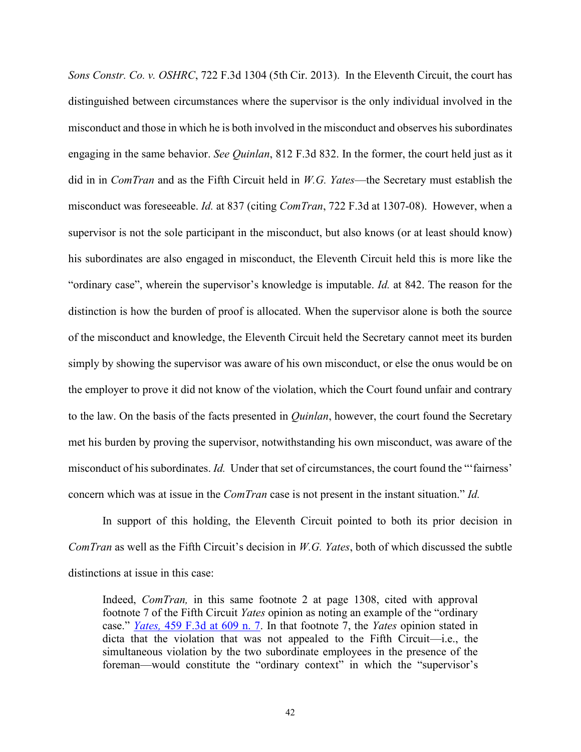*Sons Constr. Co. v. OSHRC*, 722 F.3d 1304 (5th Cir. 2013). In the Eleventh Circuit, the court has distinguished between circumstances where the supervisor is the only individual involved in the misconduct and those in which he is both involved in the misconduct and observes his subordinates engaging in the same behavior. *See Quinlan*, 812 F.3d 832. In the former, the court held just as it did in in *ComTran* and as the Fifth Circuit held in *W.G. Yates*—the Secretary must establish the misconduct was foreseeable. *Id.* at 837 (citing *ComTran*, 722 F.3d at 1307-08). However, when a supervisor is not the sole participant in the misconduct, but also knows (or at least should know) his subordinates are also engaged in misconduct, the Eleventh Circuit held this is more like the "ordinary case", wherein the supervisor's knowledge is imputable. *Id.* at 842. The reason for the distinction is how the burden of proof is allocated. When the supervisor alone is both the source of the misconduct and knowledge, the Eleventh Circuit held the Secretary cannot meet its burden simply by showing the supervisor was aware of his own misconduct, or else the onus would be on the employer to prove it did not know of the violation, which the Court found unfair and contrary to the law. On the basis of the facts presented in *Quinlan*, however, the court found the Secretary met his burden by proving the supervisor, notwithstanding his own misconduct, was aware of the misconduct of his subordinates. *Id.* Under that set of circumstances, the court found the "'fairness' concern which was at issue in the *ComTran* case is not present in the instant situation." *Id.*

In support of this holding, the Eleventh Circuit pointed to both its prior decision in *ComTran* as well as the Fifth Circuit's decision in *W.G. Yates*, both of which discussed the subtle distinctions at issue in this case:

Indeed, *ComTran,* in this same footnote 2 at page 1308, cited with approval footnote 7 of the Fifth Circuit *Yates* opinion as noting an example of the "ordinary case." *Yates,* [459 F.3d at 609 n. 7.](http://www.westlaw.com/Link/Document/FullText?findType=Y&serNum=2009673890&pubNum=0000506&originatingDoc=I485b8317b69f11e590d4edf60ce7d742&refType=RP&fi=co_pp_sp_506_609&originationContext=document&vr=3.0&rs=cblt1.0&transitionType=DocumentItem&contextData=(sc.Keycite)#co_pp_sp_506_609) In that footnote 7, the *Yates* opinion stated in dicta that the violation that was not appealed to the Fifth Circuit—i.e., the simultaneous violation by the two subordinate employees in the presence of the foreman—would constitute the "ordinary context" in which the "supervisor's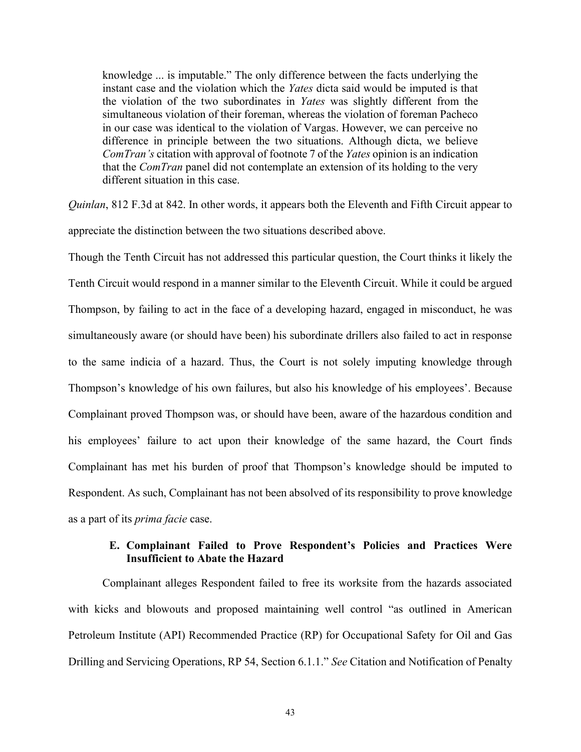knowledge ... is imputable." The only difference between the facts underlying the instant case and the violation which the *Yates* dicta said would be imputed is that the violation of the two subordinates in *Yates* was slightly different from the simultaneous violation of their foreman, whereas the violation of foreman Pacheco in our case was identical to the violation of Vargas. However, we can perceive no difference in principle between the two situations. Although dicta, we believe *ComTran's* citation with approval of footnote 7 of the *Yates* opinion is an indication that the *ComTran* panel did not contemplate an extension of its holding to the very different situation in this case.

*Quinlan*, 812 F.3d at 842. In other words, it appears both the Eleventh and Fifth Circuit appear to appreciate the distinction between the two situations described above.

Though the Tenth Circuit has not addressed this particular question, the Court thinks it likely the Tenth Circuit would respond in a manner similar to the Eleventh Circuit. While it could be argued Thompson, by failing to act in the face of a developing hazard, engaged in misconduct, he was simultaneously aware (or should have been) his subordinate drillers also failed to act in response to the same indicia of a hazard. Thus, the Court is not solely imputing knowledge through Thompson's knowledge of his own failures, but also his knowledge of his employees'. Because Complainant proved Thompson was, or should have been, aware of the hazardous condition and his employees' failure to act upon their knowledge of the same hazard, the Court finds Complainant has met his burden of proof that Thompson's knowledge should be imputed to Respondent. As such, Complainant has not been absolved of its responsibility to prove knowledge as a part of its *prima facie* case.

# **E. Complainant Failed to Prove Respondent's Policies and Practices Were Insufficient to Abate the Hazard**

Complainant alleges Respondent failed to free its worksite from the hazards associated with kicks and blowouts and proposed maintaining well control "as outlined in American Petroleum Institute (API) Recommended Practice (RP) for Occupational Safety for Oil and Gas Drilling and Servicing Operations, RP 54, Section 6.1.1." *See* Citation and Notification of Penalty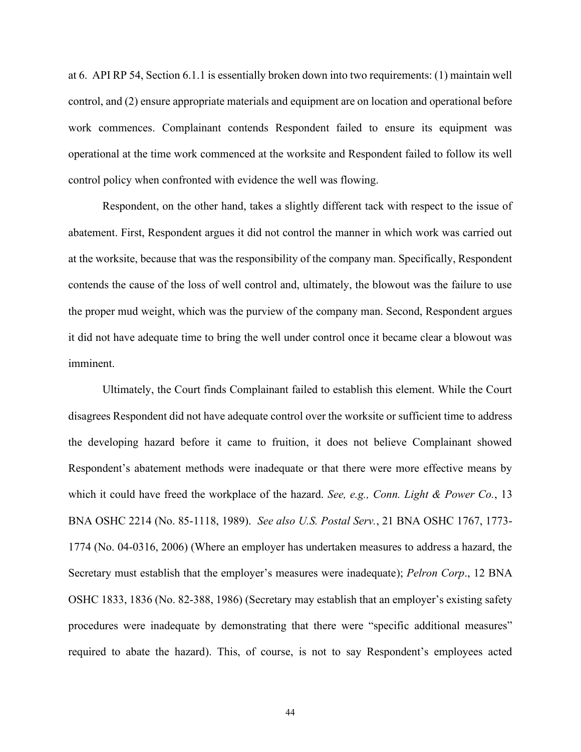at 6. API RP 54, Section 6.1.1 is essentially broken down into two requirements: (1) maintain well control, and (2) ensure appropriate materials and equipment are on location and operational before work commences. Complainant contends Respondent failed to ensure its equipment was operational at the time work commenced at the worksite and Respondent failed to follow its well control policy when confronted with evidence the well was flowing.

Respondent, on the other hand, takes a slightly different tack with respect to the issue of abatement. First, Respondent argues it did not control the manner in which work was carried out at the worksite, because that was the responsibility of the company man. Specifically, Respondent contends the cause of the loss of well control and, ultimately, the blowout was the failure to use the proper mud weight, which was the purview of the company man. Second, Respondent argues it did not have adequate time to bring the well under control once it became clear a blowout was imminent.

Ultimately, the Court finds Complainant failed to establish this element. While the Court disagrees Respondent did not have adequate control over the worksite or sufficient time to address the developing hazard before it came to fruition, it does not believe Complainant showed Respondent's abatement methods were inadequate or that there were more effective means by which it could have freed the workplace of the hazard. *See, e.g., Conn. Light & Power Co.*, 13 BNA OSHC 2214 (No. 85-1118, 1989). *See also U.S. Postal Serv.*, 21 BNA OSHC 1767, 1773- 1774 (No. 04-0316, 2006) (Where an employer has undertaken measures to address a hazard, the Secretary must establish that the employer's measures were inadequate); *Pelron Corp*., 12 BNA OSHC 1833, 1836 (No. 82-388, 1986) (Secretary may establish that an employer's existing safety procedures were inadequate by demonstrating that there were "specific additional measures" required to abate the hazard). This, of course, is not to say Respondent's employees acted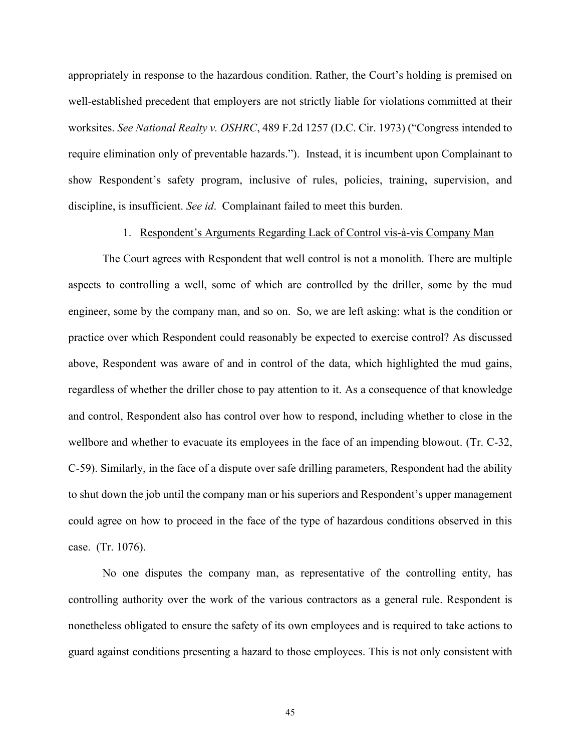appropriately in response to the hazardous condition. Rather, the Court's holding is premised on well-established precedent that employers are not strictly liable for violations committed at their worksites. *See National Realty v. OSHRC*, 489 F.2d 1257 (D.C. Cir. 1973) ("Congress intended to require elimination only of preventable hazards."). Instead, it is incumbent upon Complainant to show Respondent's safety program, inclusive of rules, policies, training, supervision, and discipline, is insufficient. *See id*. Complainant failed to meet this burden.

1. Respondent's Arguments Regarding Lack of Control vis-à-vis Company Man

The Court agrees with Respondent that well control is not a monolith. There are multiple aspects to controlling a well, some of which are controlled by the driller, some by the mud engineer, some by the company man, and so on. So, we are left asking: what is the condition or practice over which Respondent could reasonably be expected to exercise control? As discussed above, Respondent was aware of and in control of the data, which highlighted the mud gains, regardless of whether the driller chose to pay attention to it. As a consequence of that knowledge and control, Respondent also has control over how to respond, including whether to close in the wellbore and whether to evacuate its employees in the face of an impending blowout. (Tr. C-32, C-59). Similarly, in the face of a dispute over safe drilling parameters, Respondent had the ability to shut down the job until the company man or his superiors and Respondent's upper management could agree on how to proceed in the face of the type of hazardous conditions observed in this case. (Tr. 1076).

No one disputes the company man, as representative of the controlling entity, has controlling authority over the work of the various contractors as a general rule. Respondent is nonetheless obligated to ensure the safety of its own employees and is required to take actions to guard against conditions presenting a hazard to those employees. This is not only consistent with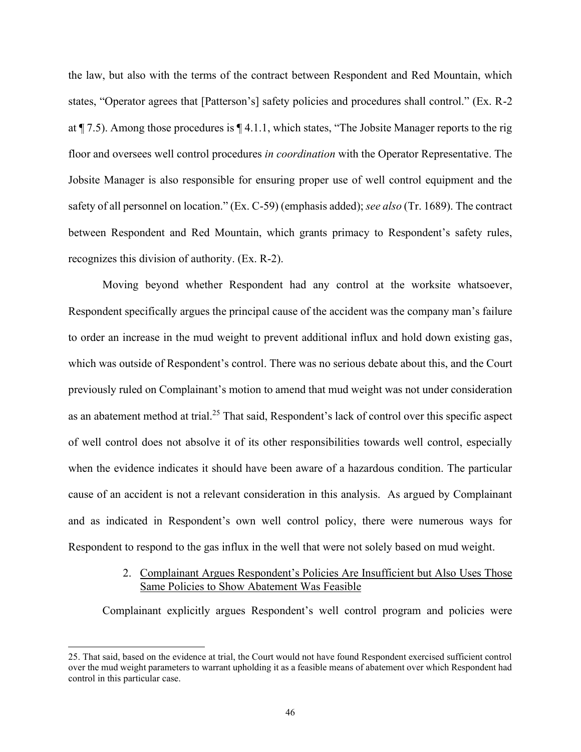the law, but also with the terms of the contract between Respondent and Red Mountain, which states, "Operator agrees that [Patterson's] safety policies and procedures shall control." (Ex. R-2 at ¶ 7.5). Among those procedures is ¶ 4.1.1, which states, "The Jobsite Manager reports to the rig floor and oversees well control procedures *in coordination* with the Operator Representative. The Jobsite Manager is also responsible for ensuring proper use of well control equipment and the safety of all personnel on location." (Ex. C-59) (emphasis added); *see also* (Tr. 1689). The contract between Respondent and Red Mountain, which grants primacy to Respondent's safety rules, recognizes this division of authority. (Ex. R-2).

Moving beyond whether Respondent had any control at the worksite whatsoever, Respondent specifically argues the principal cause of the accident was the company man's failure to order an increase in the mud weight to prevent additional influx and hold down existing gas, which was outside of Respondent's control. There was no serious debate about this, and the Court previously ruled on Complainant's motion to amend that mud weight was not under consideration as an abatement method at trial.<sup>25</sup> That said, Respondent's lack of control over this specific aspect of well control does not absolve it of its other responsibilities towards well control, especially when the evidence indicates it should have been aware of a hazardous condition. The particular cause of an accident is not a relevant consideration in this analysis. As argued by Complainant and as indicated in Respondent's own well control policy, there were numerous ways for Respondent to respond to the gas influx in the well that were not solely based on mud weight.

# 2. Complainant Argues Respondent's Policies Are Insufficient but Also Uses Those Same Policies to Show Abatement Was Feasible

Complainant explicitly argues Respondent's well control program and policies were

<sup>25.</sup> That said, based on the evidence at trial, the Court would not have found Respondent exercised sufficient control over the mud weight parameters to warrant upholding it as a feasible means of abatement over which Respondent had control in this particular case.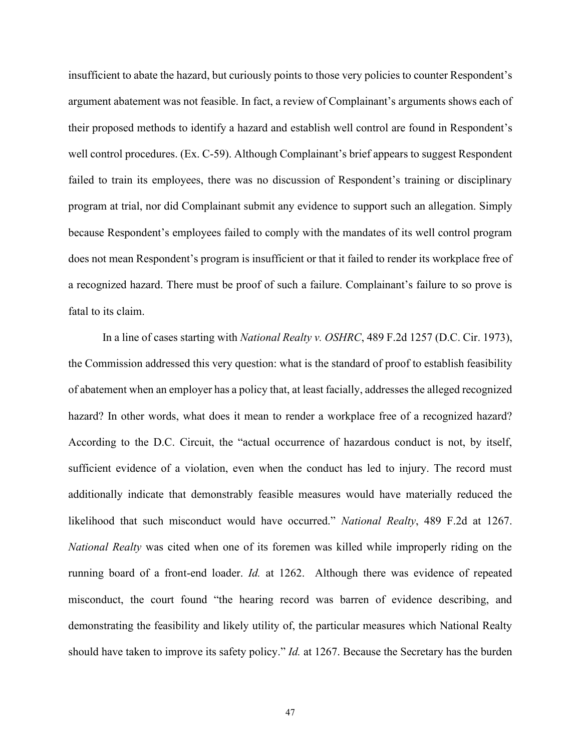insufficient to abate the hazard, but curiously points to those very policies to counter Respondent's argument abatement was not feasible. In fact, a review of Complainant's arguments shows each of their proposed methods to identify a hazard and establish well control are found in Respondent's well control procedures. (Ex. C-59). Although Complainant's brief appears to suggest Respondent failed to train its employees, there was no discussion of Respondent's training or disciplinary program at trial, nor did Complainant submit any evidence to support such an allegation. Simply because Respondent's employees failed to comply with the mandates of its well control program does not mean Respondent's program is insufficient or that it failed to render its workplace free of a recognized hazard. There must be proof of such a failure. Complainant's failure to so prove is fatal to its claim.

In a line of cases starting with *National Realty v. OSHRC*, 489 F.2d 1257 (D.C. Cir. 1973), the Commission addressed this very question: what is the standard of proof to establish feasibility of abatement when an employer has a policy that, at least facially, addresses the alleged recognized hazard? In other words, what does it mean to render a workplace free of a recognized hazard? According to the D.C. Circuit, the "actual occurrence of hazardous conduct is not, by itself, sufficient evidence of a violation, even when the conduct has led to injury. The record must additionally indicate that demonstrably feasible measures would have materially reduced the likelihood that such misconduct would have occurred." *National Realty*, 489 F.2d at 1267. *National Realty* was cited when one of its foremen was killed while improperly riding on the running board of a front-end loader. *Id.* at 1262. Although there was evidence of repeated misconduct, the court found "the hearing record was barren of evidence describing, and demonstrating the feasibility and likely utility of, the particular measures which National Realty should have taken to improve its safety policy." *Id.* at 1267. Because the Secretary has the burden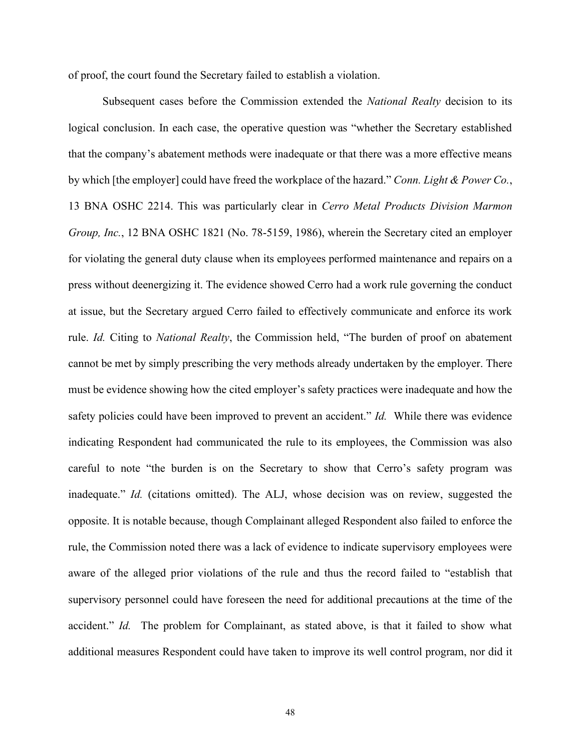of proof, the court found the Secretary failed to establish a violation.

Subsequent cases before the Commission extended the *National Realty* decision to its logical conclusion. In each case, the operative question was "whether the Secretary established that the company's abatement methods were inadequate or that there was a more effective means by which [the employer] could have freed the workplace of the hazard." *Conn. Light & Power Co.*, 13 BNA OSHC 2214. This was particularly clear in *Cerro Metal Products Division Marmon Group, Inc.*, 12 BNA OSHC 1821 (No. 78-5159, 1986), wherein the Secretary cited an employer for violating the general duty clause when its employees performed maintenance and repairs on a press without deenergizing it. The evidence showed Cerro had a work rule governing the conduct at issue, but the Secretary argued Cerro failed to effectively communicate and enforce its work rule. *Id.* Citing to *National Realty*, the Commission held, "The burden of proof on abatement cannot be met by simply prescribing the very methods already undertaken by the employer. There must be evidence showing how the cited employer's safety practices were inadequate and how the safety policies could have been improved to prevent an accident." *Id.* While there was evidence indicating Respondent had communicated the rule to its employees, the Commission was also careful to note "the burden is on the Secretary to show that Cerro's safety program was inadequate." *Id.* (citations omitted). The ALJ, whose decision was on review, suggested the opposite. It is notable because, though Complainant alleged Respondent also failed to enforce the rule, the Commission noted there was a lack of evidence to indicate supervisory employees were aware of the alleged prior violations of the rule and thus the record failed to "establish that supervisory personnel could have foreseen the need for additional precautions at the time of the accident." *Id.* The problem for Complainant, as stated above, is that it failed to show what additional measures Respondent could have taken to improve its well control program, nor did it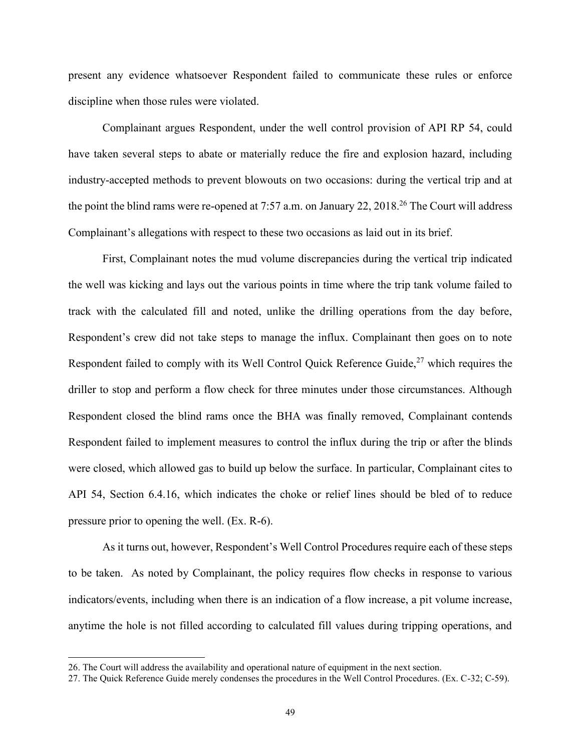present any evidence whatsoever Respondent failed to communicate these rules or enforce discipline when those rules were violated.

Complainant argues Respondent, under the well control provision of API RP 54, could have taken several steps to abate or materially reduce the fire and explosion hazard, including industry-accepted methods to prevent blowouts on two occasions: during the vertical trip and at the point the blind rams were re-opened at 7:57 a.m. on January 22, 2018.<sup>26</sup> The Court will address Complainant's allegations with respect to these two occasions as laid out in its brief.

First, Complainant notes the mud volume discrepancies during the vertical trip indicated the well was kicking and lays out the various points in time where the trip tank volume failed to track with the calculated fill and noted, unlike the drilling operations from the day before, Respondent's crew did not take steps to manage the influx. Complainant then goes on to note Respondent failed to comply with its Well Control Quick Reference Guide,  $27$  which requires the driller to stop and perform a flow check for three minutes under those circumstances. Although Respondent closed the blind rams once the BHA was finally removed, Complainant contends Respondent failed to implement measures to control the influx during the trip or after the blinds were closed, which allowed gas to build up below the surface. In particular, Complainant cites to API 54, Section 6.4.16, which indicates the choke or relief lines should be bled of to reduce pressure prior to opening the well. (Ex. R-6).

As it turns out, however, Respondent's Well Control Procedures require each of these steps to be taken. As noted by Complainant, the policy requires flow checks in response to various indicators/events, including when there is an indication of a flow increase, a pit volume increase, anytime the hole is not filled according to calculated fill values during tripping operations, and

<sup>26.</sup> The Court will address the availability and operational nature of equipment in the next section.

<sup>27.</sup> The Quick Reference Guide merely condenses the procedures in the Well Control Procedures. (Ex. C-32; C-59).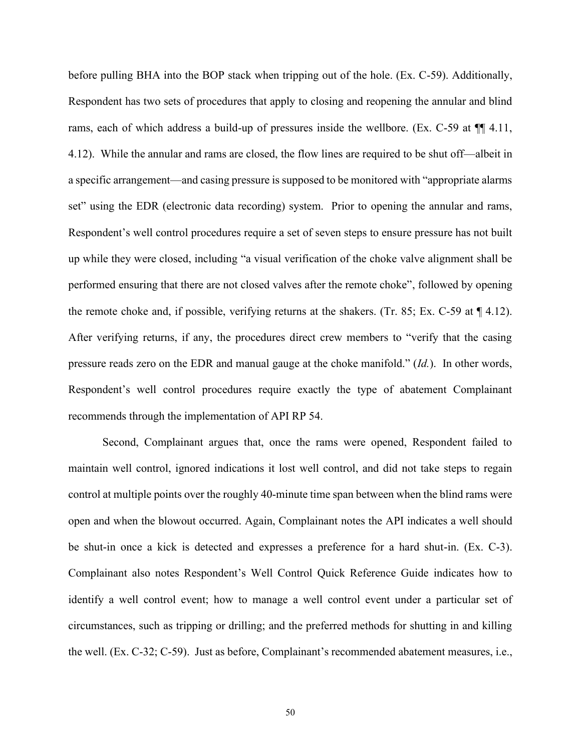before pulling BHA into the BOP stack when tripping out of the hole. (Ex. C-59). Additionally, Respondent has two sets of procedures that apply to closing and reopening the annular and blind rams, each of which address a build-up of pressures inside the wellbore. (Ex. C-59 at ¶¶ 4.11, 4.12). While the annular and rams are closed, the flow lines are required to be shut off—albeit in a specific arrangement—and casing pressure is supposed to be monitored with "appropriate alarms set" using the EDR (electronic data recording) system. Prior to opening the annular and rams, Respondent's well control procedures require a set of seven steps to ensure pressure has not built up while they were closed, including "a visual verification of the choke valve alignment shall be performed ensuring that there are not closed valves after the remote choke", followed by opening the remote choke and, if possible, verifying returns at the shakers. (Tr. 85; Ex. C-59 at  $\P$  4.12). After verifying returns, if any, the procedures direct crew members to "verify that the casing pressure reads zero on the EDR and manual gauge at the choke manifold." (*Id.*). In other words, Respondent's well control procedures require exactly the type of abatement Complainant recommends through the implementation of API RP 54.

Second, Complainant argues that, once the rams were opened, Respondent failed to maintain well control, ignored indications it lost well control, and did not take steps to regain control at multiple points over the roughly 40-minute time span between when the blind rams were open and when the blowout occurred. Again, Complainant notes the API indicates a well should be shut-in once a kick is detected and expresses a preference for a hard shut-in. (Ex. C-3). Complainant also notes Respondent's Well Control Quick Reference Guide indicates how to identify a well control event; how to manage a well control event under a particular set of circumstances, such as tripping or drilling; and the preferred methods for shutting in and killing the well. (Ex. C-32; C-59). Just as before, Complainant's recommended abatement measures, i.e.,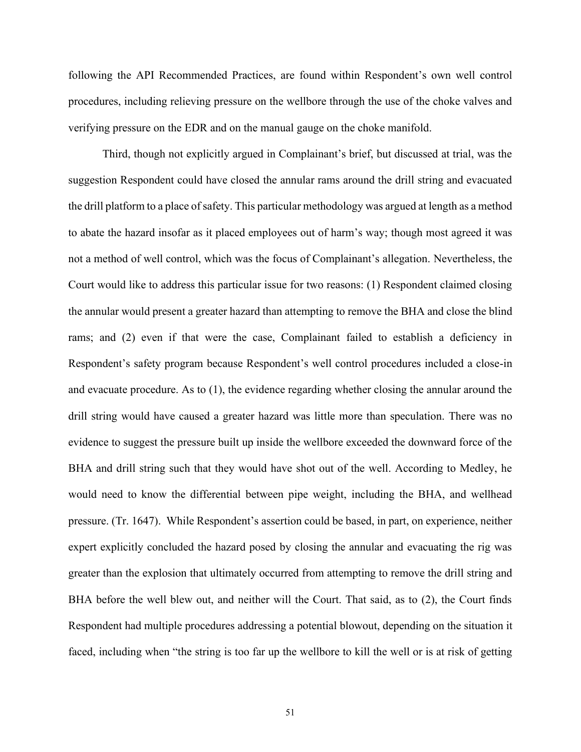following the API Recommended Practices, are found within Respondent's own well control procedures, including relieving pressure on the wellbore through the use of the choke valves and verifying pressure on the EDR and on the manual gauge on the choke manifold.

Third, though not explicitly argued in Complainant's brief, but discussed at trial, was the suggestion Respondent could have closed the annular rams around the drill string and evacuated the drill platform to a place of safety. This particular methodology was argued at length as a method to abate the hazard insofar as it placed employees out of harm's way; though most agreed it was not a method of well control, which was the focus of Complainant's allegation. Nevertheless, the Court would like to address this particular issue for two reasons: (1) Respondent claimed closing the annular would present a greater hazard than attempting to remove the BHA and close the blind rams; and (2) even if that were the case, Complainant failed to establish a deficiency in Respondent's safety program because Respondent's well control procedures included a close-in and evacuate procedure. As to (1), the evidence regarding whether closing the annular around the drill string would have caused a greater hazard was little more than speculation. There was no evidence to suggest the pressure built up inside the wellbore exceeded the downward force of the BHA and drill string such that they would have shot out of the well. According to Medley, he would need to know the differential between pipe weight, including the BHA, and wellhead pressure. (Tr. 1647). While Respondent's assertion could be based, in part, on experience, neither expert explicitly concluded the hazard posed by closing the annular and evacuating the rig was greater than the explosion that ultimately occurred from attempting to remove the drill string and BHA before the well blew out, and neither will the Court. That said, as to (2), the Court finds Respondent had multiple procedures addressing a potential blowout, depending on the situation it faced, including when "the string is too far up the wellbore to kill the well or is at risk of getting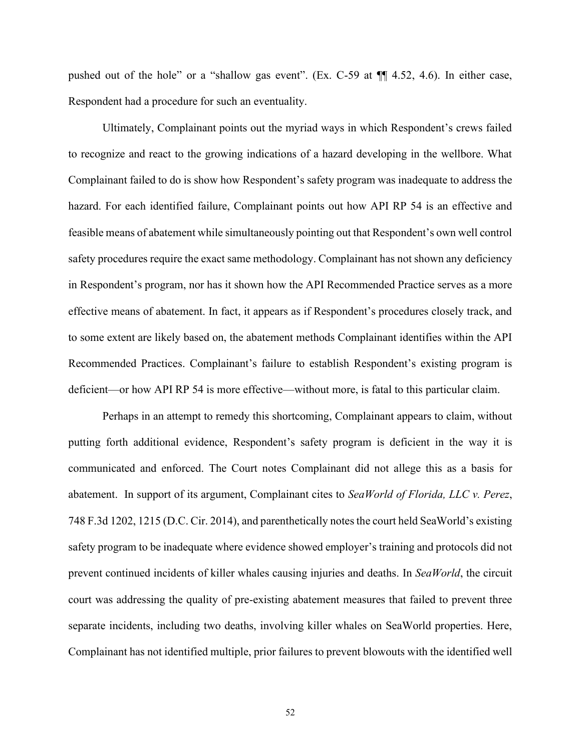pushed out of the hole" or a "shallow gas event". (Ex. C-59 at ¶¶ 4.52, 4.6). In either case, Respondent had a procedure for such an eventuality.

Ultimately, Complainant points out the myriad ways in which Respondent's crews failed to recognize and react to the growing indications of a hazard developing in the wellbore. What Complainant failed to do is show how Respondent's safety program was inadequate to address the hazard. For each identified failure, Complainant points out how API RP 54 is an effective and feasible means of abatement while simultaneously pointing out that Respondent's own well control safety procedures require the exact same methodology. Complainant has not shown any deficiency in Respondent's program, nor has it shown how the API Recommended Practice serves as a more effective means of abatement. In fact, it appears as if Respondent's procedures closely track, and to some extent are likely based on, the abatement methods Complainant identifies within the API Recommended Practices. Complainant's failure to establish Respondent's existing program is deficient—or how API RP 54 is more effective—without more, is fatal to this particular claim.

Perhaps in an attempt to remedy this shortcoming, Complainant appears to claim, without putting forth additional evidence, Respondent's safety program is deficient in the way it is communicated and enforced. The Court notes Complainant did not allege this as a basis for abatement. In support of its argument, Complainant cites to *SeaWorld of Florida, LLC v. Perez*, 748 F.3d 1202, 1215 (D.C. Cir. 2014), and parenthetically notes the court held SeaWorld's existing safety program to be inadequate where evidence showed employer's training and protocols did not prevent continued incidents of killer whales causing injuries and deaths. In *SeaWorld*, the circuit court was addressing the quality of pre-existing abatement measures that failed to prevent three separate incidents, including two deaths, involving killer whales on SeaWorld properties. Here, Complainant has not identified multiple, prior failures to prevent blowouts with the identified well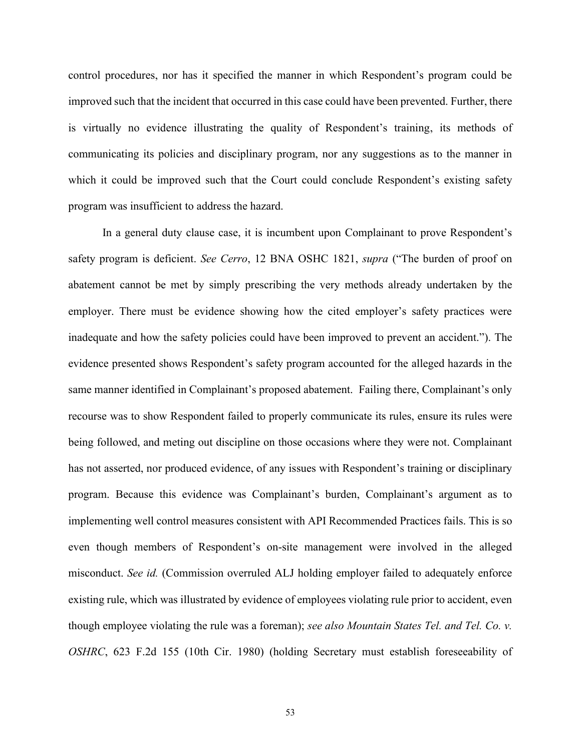control procedures, nor has it specified the manner in which Respondent's program could be improved such that the incident that occurred in this case could have been prevented. Further, there is virtually no evidence illustrating the quality of Respondent's training, its methods of communicating its policies and disciplinary program, nor any suggestions as to the manner in which it could be improved such that the Court could conclude Respondent's existing safety program was insufficient to address the hazard.

In a general duty clause case, it is incumbent upon Complainant to prove Respondent's safety program is deficient. *See Cerro*, 12 BNA OSHC 1821, *supra* ("The burden of proof on abatement cannot be met by simply prescribing the very methods already undertaken by the employer. There must be evidence showing how the cited employer's safety practices were inadequate and how the safety policies could have been improved to prevent an accident."). The evidence presented shows Respondent's safety program accounted for the alleged hazards in the same manner identified in Complainant's proposed abatement. Failing there, Complainant's only recourse was to show Respondent failed to properly communicate its rules, ensure its rules were being followed, and meting out discipline on those occasions where they were not. Complainant has not asserted, nor produced evidence, of any issues with Respondent's training or disciplinary program. Because this evidence was Complainant's burden, Complainant's argument as to implementing well control measures consistent with API Recommended Practices fails. This is so even though members of Respondent's on-site management were involved in the alleged misconduct. *See id.* (Commission overruled ALJ holding employer failed to adequately enforce existing rule, which was illustrated by evidence of employees violating rule prior to accident, even though employee violating the rule was a foreman); *see also Mountain States Tel. and Tel. Co. v. OSHRC*, 623 F.2d 155 (10th Cir. 1980) (holding Secretary must establish foreseeability of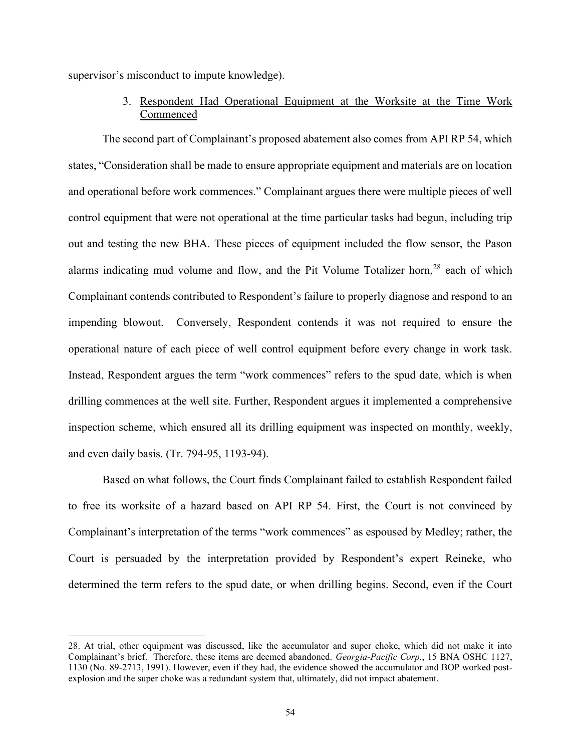supervisor's misconduct to impute knowledge).

3. Respondent Had Operational Equipment at the Worksite at the Time Work Commenced

The second part of Complainant's proposed abatement also comes from API RP 54, which states, "Consideration shall be made to ensure appropriate equipment and materials are on location and operational before work commences." Complainant argues there were multiple pieces of well control equipment that were not operational at the time particular tasks had begun, including trip out and testing the new BHA. These pieces of equipment included the flow sensor, the Pason alarms indicating mud volume and flow, and the Pit Volume Totalizer horn,<sup>28</sup> each of which Complainant contends contributed to Respondent's failure to properly diagnose and respond to an impending blowout. Conversely, Respondent contends it was not required to ensure the operational nature of each piece of well control equipment before every change in work task. Instead, Respondent argues the term "work commences" refers to the spud date, which is when drilling commences at the well site. Further, Respondent argues it implemented a comprehensive inspection scheme, which ensured all its drilling equipment was inspected on monthly, weekly, and even daily basis. (Tr. 794-95, 1193-94).

Based on what follows, the Court finds Complainant failed to establish Respondent failed to free its worksite of a hazard based on API RP 54. First, the Court is not convinced by Complainant's interpretation of the terms "work commences" as espoused by Medley; rather, the Court is persuaded by the interpretation provided by Respondent's expert Reineke, who determined the term refers to the spud date, or when drilling begins. Second, even if the Court

<sup>28.</sup> At trial, other equipment was discussed, like the accumulator and super choke, which did not make it into Complainant's brief. Therefore, these items are deemed abandoned. *Georgia-Pacific Corp.*, 15 BNA OSHC 1127, 1130 (No. 89-2713, 1991). However, even if they had, the evidence showed the accumulator and BOP worked postexplosion and the super choke was a redundant system that, ultimately, did not impact abatement.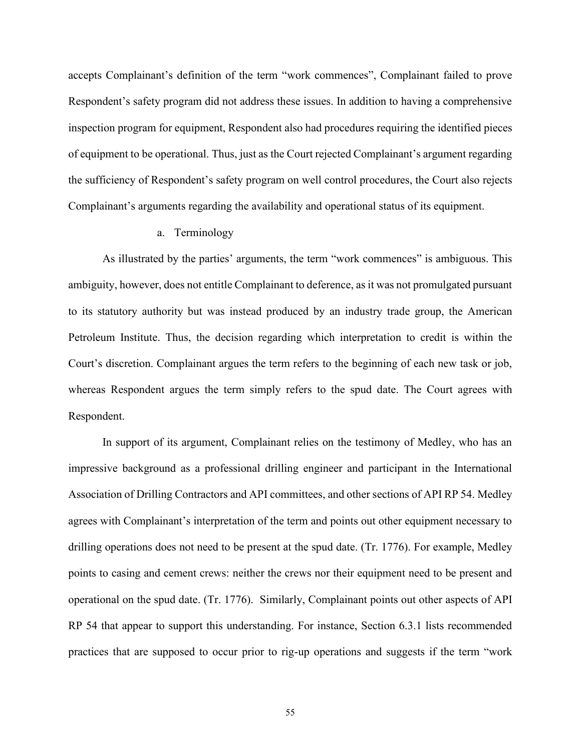accepts Complainant's definition of the term "work commences", Complainant failed to prove Respondent's safety program did not address these issues. In addition to having a comprehensive inspection program for equipment, Respondent also had procedures requiring the identified pieces of equipment to be operational. Thus, just as the Court rejected Complainant's argument regarding the sufficiency of Respondent's safety program on well control procedures, the Court also rejects Complainant's arguments regarding the availability and operational status of its equipment.

## a. Terminology

As illustrated by the parties' arguments, the term "work commences" is ambiguous. This ambiguity, however, does not entitle Complainant to deference, as it was not promulgated pursuant to its statutory authority but was instead produced by an industry trade group, the American Petroleum Institute. Thus, the decision regarding which interpretation to credit is within the Court's discretion. Complainant argues the term refers to the beginning of each new task or job, whereas Respondent argues the term simply refers to the spud date. The Court agrees with Respondent.

In support of its argument, Complainant relies on the testimony of Medley, who has an impressive background as a professional drilling engineer and participant in the International Association of Drilling Contractors and API committees, and other sections of API RP 54. Medley agrees with Complainant's interpretation of the term and points out other equipment necessary to drilling operations does not need to be present at the spud date. (Tr. 1776). For example, Medley points to casing and cement crews: neither the crews nor their equipment need to be present and operational on the spud date. (Tr. 1776). Similarly, Complainant points out other aspects of API RP 54 that appear to support this understanding. For instance, Section 6.3.1 lists recommended practices that are supposed to occur prior to rig-up operations and suggests if the term "work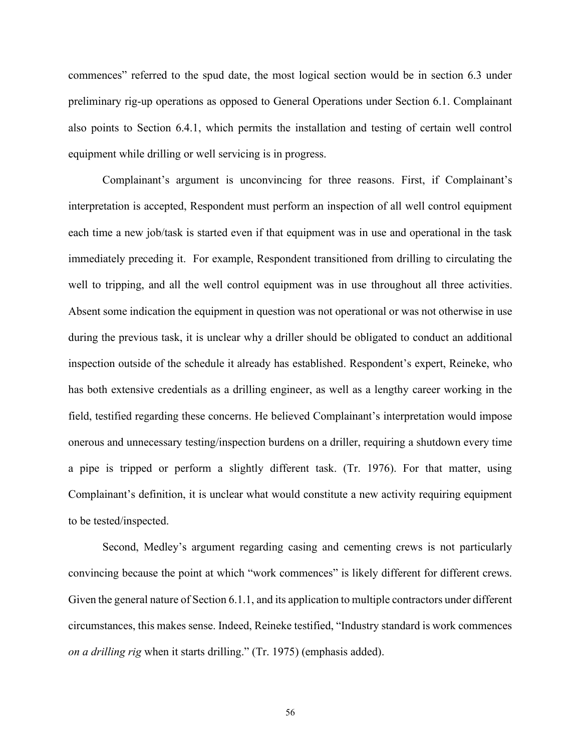commences" referred to the spud date, the most logical section would be in section 6.3 under preliminary rig-up operations as opposed to General Operations under Section 6.1. Complainant also points to Section 6.4.1, which permits the installation and testing of certain well control equipment while drilling or well servicing is in progress.

Complainant's argument is unconvincing for three reasons. First, if Complainant's interpretation is accepted, Respondent must perform an inspection of all well control equipment each time a new job/task is started even if that equipment was in use and operational in the task immediately preceding it. For example, Respondent transitioned from drilling to circulating the well to tripping, and all the well control equipment was in use throughout all three activities. Absent some indication the equipment in question was not operational or was not otherwise in use during the previous task, it is unclear why a driller should be obligated to conduct an additional inspection outside of the schedule it already has established. Respondent's expert, Reineke, who has both extensive credentials as a drilling engineer, as well as a lengthy career working in the field, testified regarding these concerns. He believed Complainant's interpretation would impose onerous and unnecessary testing/inspection burdens on a driller, requiring a shutdown every time a pipe is tripped or perform a slightly different task. (Tr. 1976). For that matter, using Complainant's definition, it is unclear what would constitute a new activity requiring equipment to be tested/inspected.

Second, Medley's argument regarding casing and cementing crews is not particularly convincing because the point at which "work commences" is likely different for different crews. Given the general nature of Section 6.1.1, and its application to multiple contractors under different circumstances, this makes sense. Indeed, Reineke testified, "Industry standard is work commences *on a drilling rig* when it starts drilling." (Tr. 1975) (emphasis added).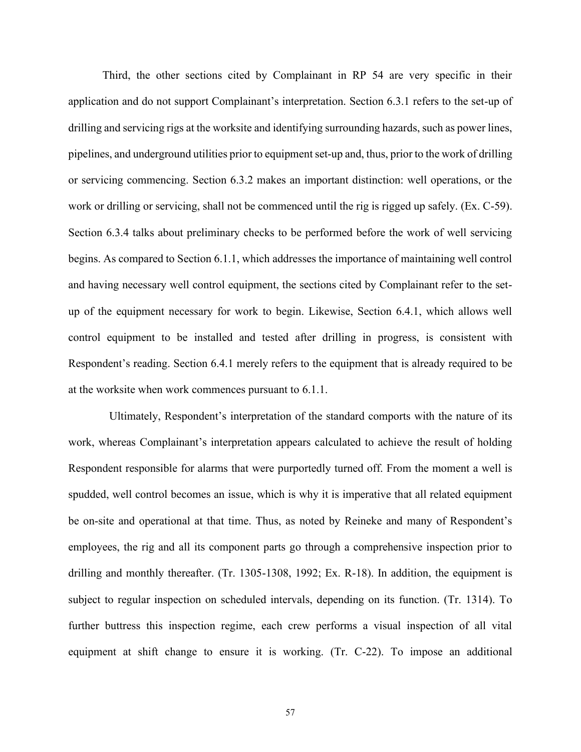Third, the other sections cited by Complainant in RP 54 are very specific in their application and do not support Complainant's interpretation. Section 6.3.1 refers to the set-up of drilling and servicing rigs at the worksite and identifying surrounding hazards, such as power lines, pipelines, and underground utilities prior to equipment set-up and, thus, prior to the work of drilling or servicing commencing. Section 6.3.2 makes an important distinction: well operations, or the work or drilling or servicing, shall not be commenced until the rig is rigged up safely. (Ex. C-59). Section 6.3.4 talks about preliminary checks to be performed before the work of well servicing begins. As compared to Section 6.1.1, which addresses the importance of maintaining well control and having necessary well control equipment, the sections cited by Complainant refer to the setup of the equipment necessary for work to begin. Likewise, Section 6.4.1, which allows well control equipment to be installed and tested after drilling in progress, is consistent with Respondent's reading. Section 6.4.1 merely refers to the equipment that is already required to be at the worksite when work commences pursuant to 6.1.1.

Ultimately, Respondent's interpretation of the standard comports with the nature of its work, whereas Complainant's interpretation appears calculated to achieve the result of holding Respondent responsible for alarms that were purportedly turned off. From the moment a well is spudded, well control becomes an issue, which is why it is imperative that all related equipment be on-site and operational at that time. Thus, as noted by Reineke and many of Respondent's employees, the rig and all its component parts go through a comprehensive inspection prior to drilling and monthly thereafter. (Tr. 1305-1308, 1992; Ex. R-18). In addition, the equipment is subject to regular inspection on scheduled intervals, depending on its function. (Tr. 1314). To further buttress this inspection regime, each crew performs a visual inspection of all vital equipment at shift change to ensure it is working. (Tr. C-22). To impose an additional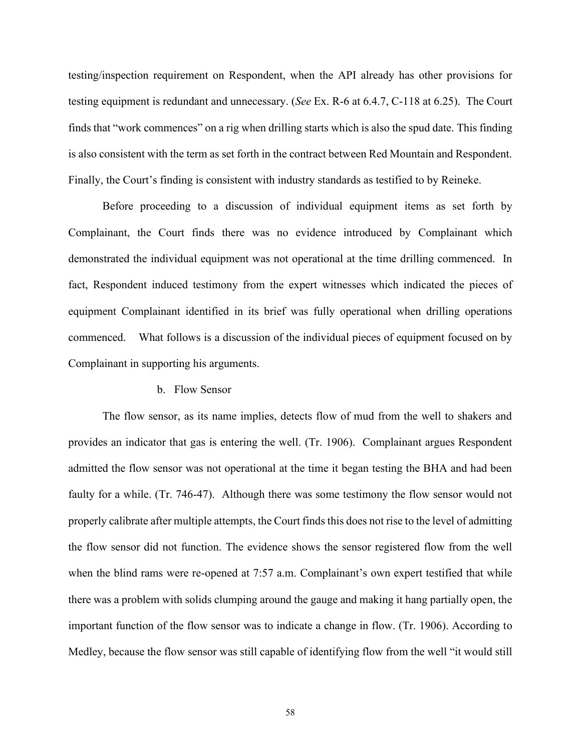testing/inspection requirement on Respondent, when the API already has other provisions for testing equipment is redundant and unnecessary. (*See* Ex. R-6 at 6.4.7, C-118 at 6.25). The Court finds that "work commences" on a rig when drilling starts which is also the spud date. This finding is also consistent with the term as set forth in the contract between Red Mountain and Respondent. Finally, the Court's finding is consistent with industry standards as testified to by Reineke.

Before proceeding to a discussion of individual equipment items as set forth by Complainant, the Court finds there was no evidence introduced by Complainant which demonstrated the individual equipment was not operational at the time drilling commenced. In fact, Respondent induced testimony from the expert witnesses which indicated the pieces of equipment Complainant identified in its brief was fully operational when drilling operations commenced. What follows is a discussion of the individual pieces of equipment focused on by Complainant in supporting his arguments.

#### b. Flow Sensor

The flow sensor, as its name implies, detects flow of mud from the well to shakers and provides an indicator that gas is entering the well. (Tr. 1906). Complainant argues Respondent admitted the flow sensor was not operational at the time it began testing the BHA and had been faulty for a while. (Tr. 746-47). Although there was some testimony the flow sensor would not properly calibrate after multiple attempts, the Court finds this does not rise to the level of admitting the flow sensor did not function. The evidence shows the sensor registered flow from the well when the blind rams were re-opened at 7:57 a.m. Complainant's own expert testified that while there was a problem with solids clumping around the gauge and making it hang partially open, the important function of the flow sensor was to indicate a change in flow. (Tr. 1906). According to Medley, because the flow sensor was still capable of identifying flow from the well "it would still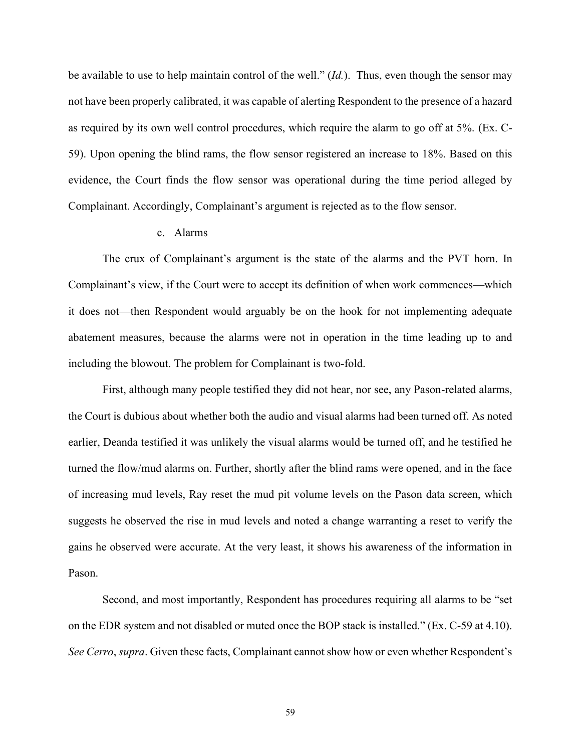be available to use to help maintain control of the well." (*Id.*). Thus, even though the sensor may not have been properly calibrated, it was capable of alerting Respondent to the presence of a hazard as required by its own well control procedures, which require the alarm to go off at 5%. (Ex. C-59). Upon opening the blind rams, the flow sensor registered an increase to 18%. Based on this evidence, the Court finds the flow sensor was operational during the time period alleged by Complainant. Accordingly, Complainant's argument is rejected as to the flow sensor.

## c. Alarms

The crux of Complainant's argument is the state of the alarms and the PVT horn. In Complainant's view, if the Court were to accept its definition of when work commences—which it does not—then Respondent would arguably be on the hook for not implementing adequate abatement measures, because the alarms were not in operation in the time leading up to and including the blowout. The problem for Complainant is two-fold.

First, although many people testified they did not hear, nor see, any Pason-related alarms, the Court is dubious about whether both the audio and visual alarms had been turned off. As noted earlier, Deanda testified it was unlikely the visual alarms would be turned off, and he testified he turned the flow/mud alarms on. Further, shortly after the blind rams were opened, and in the face of increasing mud levels, Ray reset the mud pit volume levels on the Pason data screen, which suggests he observed the rise in mud levels and noted a change warranting a reset to verify the gains he observed were accurate. At the very least, it shows his awareness of the information in Pason.

Second, and most importantly, Respondent has procedures requiring all alarms to be "set on the EDR system and not disabled or muted once the BOP stack is installed." (Ex. C-59 at 4.10). *See Cerro*, *supra*. Given these facts, Complainant cannot show how or even whether Respondent's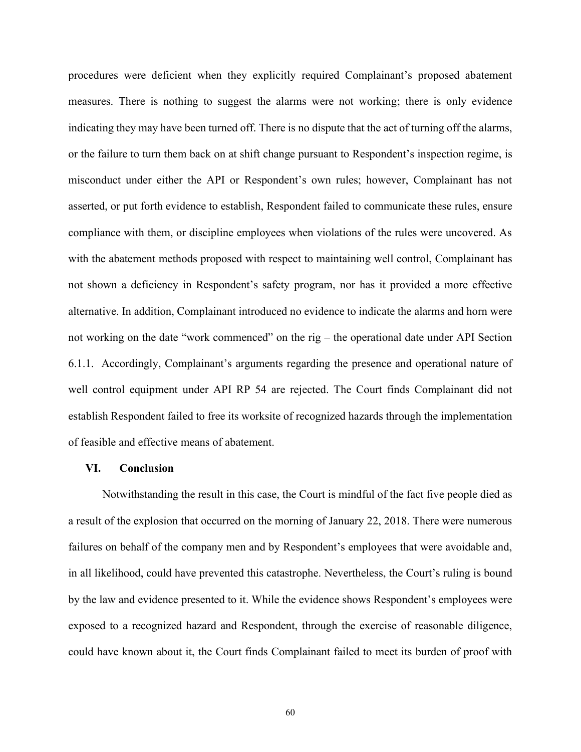procedures were deficient when they explicitly required Complainant's proposed abatement measures. There is nothing to suggest the alarms were not working; there is only evidence indicating they may have been turned off. There is no dispute that the act of turning off the alarms, or the failure to turn them back on at shift change pursuant to Respondent's inspection regime, is misconduct under either the API or Respondent's own rules; however, Complainant has not asserted, or put forth evidence to establish, Respondent failed to communicate these rules, ensure compliance with them, or discipline employees when violations of the rules were uncovered. As with the abatement methods proposed with respect to maintaining well control, Complainant has not shown a deficiency in Respondent's safety program, nor has it provided a more effective alternative. In addition, Complainant introduced no evidence to indicate the alarms and horn were not working on the date "work commenced" on the rig – the operational date under API Section 6.1.1. Accordingly, Complainant's arguments regarding the presence and operational nature of well control equipment under API RP 54 are rejected. The Court finds Complainant did not establish Respondent failed to free its worksite of recognized hazards through the implementation of feasible and effective means of abatement.

## **VI. Conclusion**

Notwithstanding the result in this case, the Court is mindful of the fact five people died as a result of the explosion that occurred on the morning of January 22, 2018. There were numerous failures on behalf of the company men and by Respondent's employees that were avoidable and, in all likelihood, could have prevented this catastrophe. Nevertheless, the Court's ruling is bound by the law and evidence presented to it. While the evidence shows Respondent's employees were exposed to a recognized hazard and Respondent, through the exercise of reasonable diligence, could have known about it, the Court finds Complainant failed to meet its burden of proof with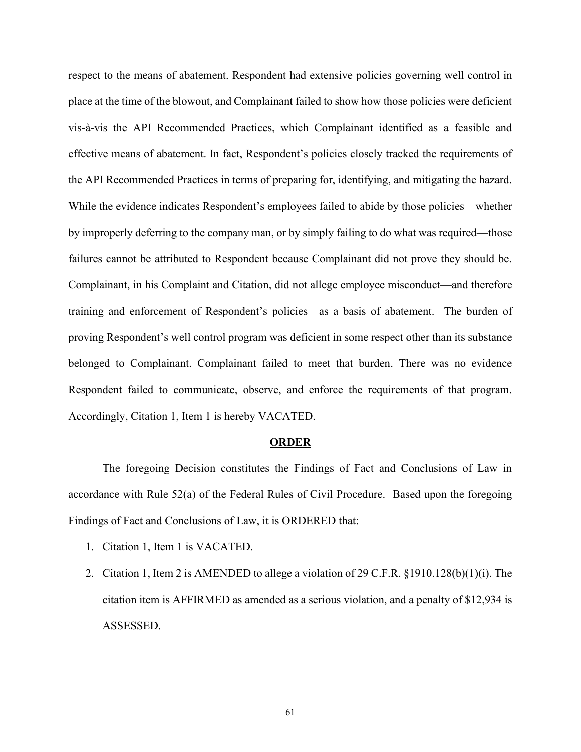respect to the means of abatement. Respondent had extensive policies governing well control in place at the time of the blowout, and Complainant failed to show how those policies were deficient vis-à-vis the API Recommended Practices, which Complainant identified as a feasible and effective means of abatement. In fact, Respondent's policies closely tracked the requirements of the API Recommended Practices in terms of preparing for, identifying, and mitigating the hazard. While the evidence indicates Respondent's employees failed to abide by those policies—whether by improperly deferring to the company man, or by simply failing to do what was required—those failures cannot be attributed to Respondent because Complainant did not prove they should be. Complainant, in his Complaint and Citation, did not allege employee misconduct—and therefore training and enforcement of Respondent's policies—as a basis of abatement. The burden of proving Respondent's well control program was deficient in some respect other than its substance belonged to Complainant. Complainant failed to meet that burden. There was no evidence Respondent failed to communicate, observe, and enforce the requirements of that program. Accordingly, Citation 1, Item 1 is hereby VACATED.

#### **ORDER**

The foregoing Decision constitutes the Findings of Fact and Conclusions of Law in accordance with Rule 52(a) of the Federal Rules of Civil Procedure. Based upon the foregoing Findings of Fact and Conclusions of Law, it is ORDERED that:

- 1. Citation 1, Item 1 is VACATED.
- 2. Citation 1, Item 2 is AMENDED to allege a violation of 29 C.F.R. §1910.128(b)(1)(i). The citation item is AFFIRMED as amended as a serious violation, and a penalty of \$12,934 is ASSESSED.